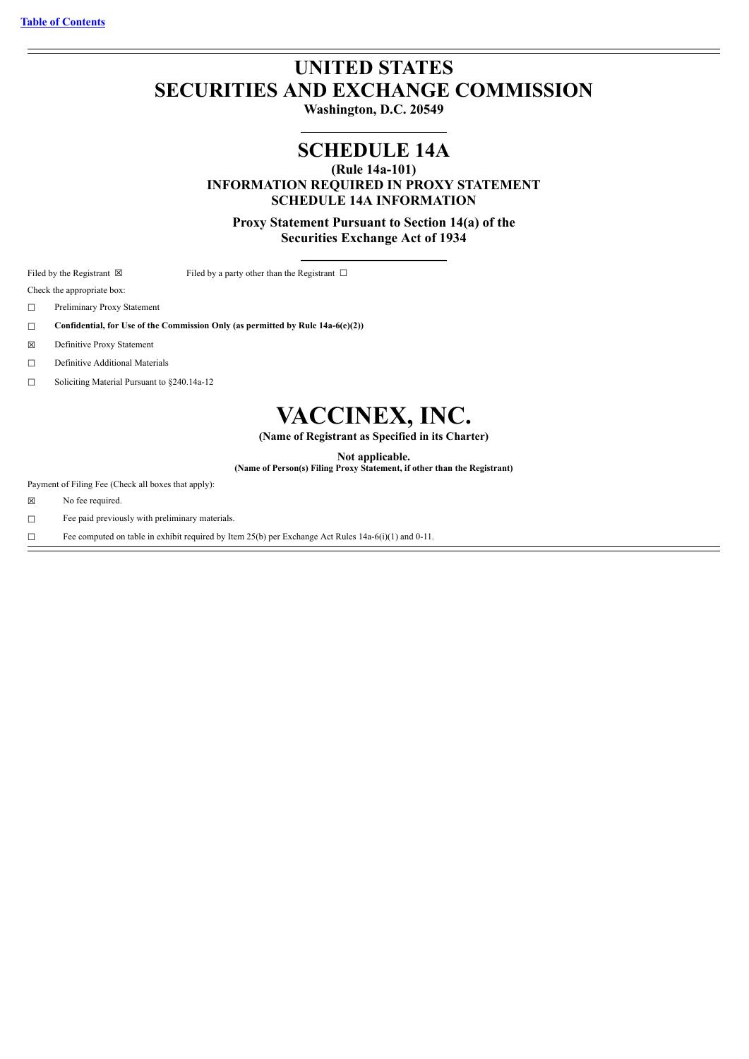# **UNITED STATES SECURITIES AND EXCHANGE COMMISSION**

**Washington, D.C. 20549**

# **SCHEDULE 14A**

**(Rule 14a-101)**

**INFORMATION REQUIRED IN PROXY STATEMENT SCHEDULE 14A INFORMATION**

**Proxy Statement Pursuant to Section 14(a) of the Securities Exchange Act of 1934**

Filed by the Registrant  $\boxtimes$  Filed by a party other than the Registrant  $\Box$ 

Check the appropriate box:

☐ Preliminary Proxy Statement

☐ **Confidential, for Use of the Commission Only (as permitted by Rule 14a-6(e)(2))**

☒ Definitive Proxy Statement

☐ Definitive Additional Materials

☐ Soliciting Material Pursuant to §240.14a-12

# **VACCINEX, INC.**

**(Name of Registrant as Specified in its Charter)**

**Not applicable.**

**(Name of Person(s) Filing Proxy Statement, if other than the Registrant)**

Payment of Filing Fee (Check all boxes that apply):

☒ No fee required.

☐ Fee paid previously with preliminary materials.

☐ Fee computed on table in exhibit required by Item 25(b) per Exchange Act Rules 14a-6(i)(1) and 0-11.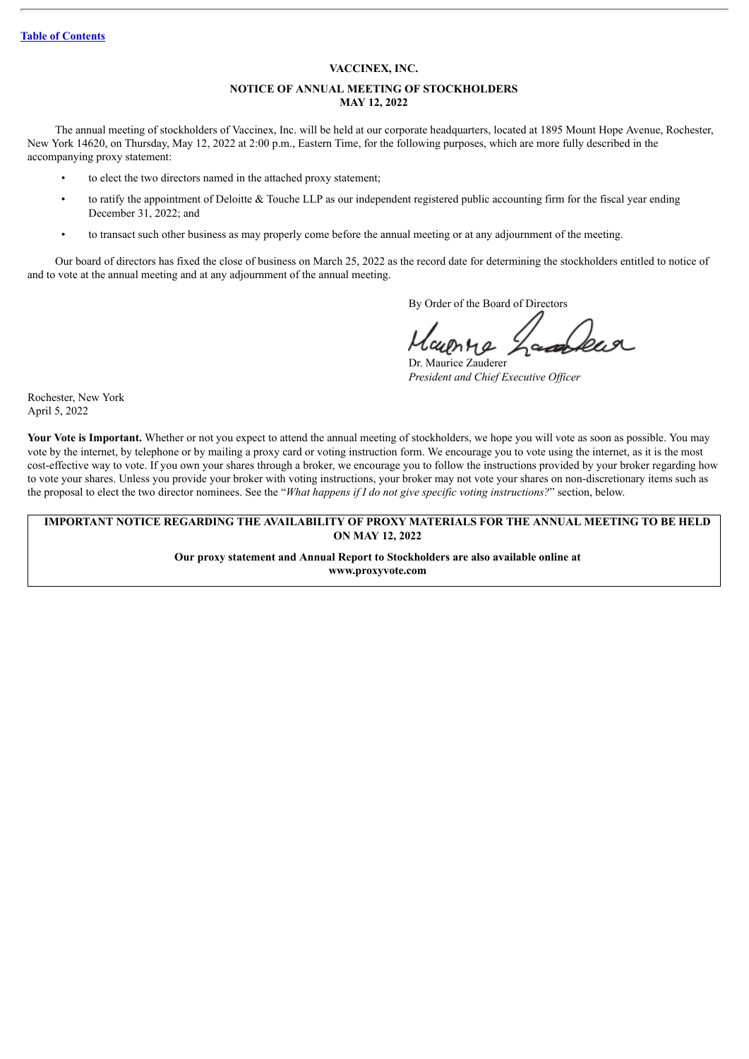#### **Table of [Contents](#page-2-0)**

#### **VACCINEX, INC.**

# **NOTICE OF ANNUAL MEETING OF STOCKHOLDERS MAY 12, 2022**

The annual meeting of stockholders of Vaccinex, Inc. will be held at our corporate headquarters, located at 1895 Mount Hope Avenue, Rochester, New York 14620, on Thursday, May 12, 2022 at 2:00 p.m., Eastern Time, for the following purposes, which are more fully described in the accompanying proxy statement:

- to elect the two directors named in the attached proxy statement;
- to ratify the appointment of Deloitte & Touche LLP as our independent registered public accounting firm for the fiscal year ending December 31, 2022; and
- to transact such other business as may properly come before the annual meeting or at any adjournment of the meeting.

Our board of directors has fixed the close of business on March 25, 2022 as the record date for determining the stockholders entitled to notice of and to vote at the annual meeting and at any adjournment of the annual meeting.

By Order of the Board of Directors

Dr. Maurice Zauderer *President and Chief Executive Of icer*

Rochester, New York April 5, 2022

**Your Vote is Important.** Whether or not you expect to attend the annual meeting of stockholders, we hope you will vote as soon as possible. You may vote by the internet, by telephone or by mailing a proxy card or voting instruction form. We encourage you to vote using the internet, as it is the most cost-effective way to vote. If you own your shares through a broker, we encourage you to follow the instructions provided by your broker regarding how to vote your shares. Unless you provide your broker with voting instructions, your broker may not vote your shares on non-discretionary items such as the proposal to elect the two director nominees. See the "*What happens if I do not give specific voting instructions?*" section, below.

#### **IMPORTANT NOTICE REGARDING THE AVAILABILITY OF PROXY MATERIALS FOR THE ANNUAL MEETING TO BE HELD ON MAY 12, 2022**

**Our proxy statement and Annual Report to Stockholders are also available online at www.proxyvote.com**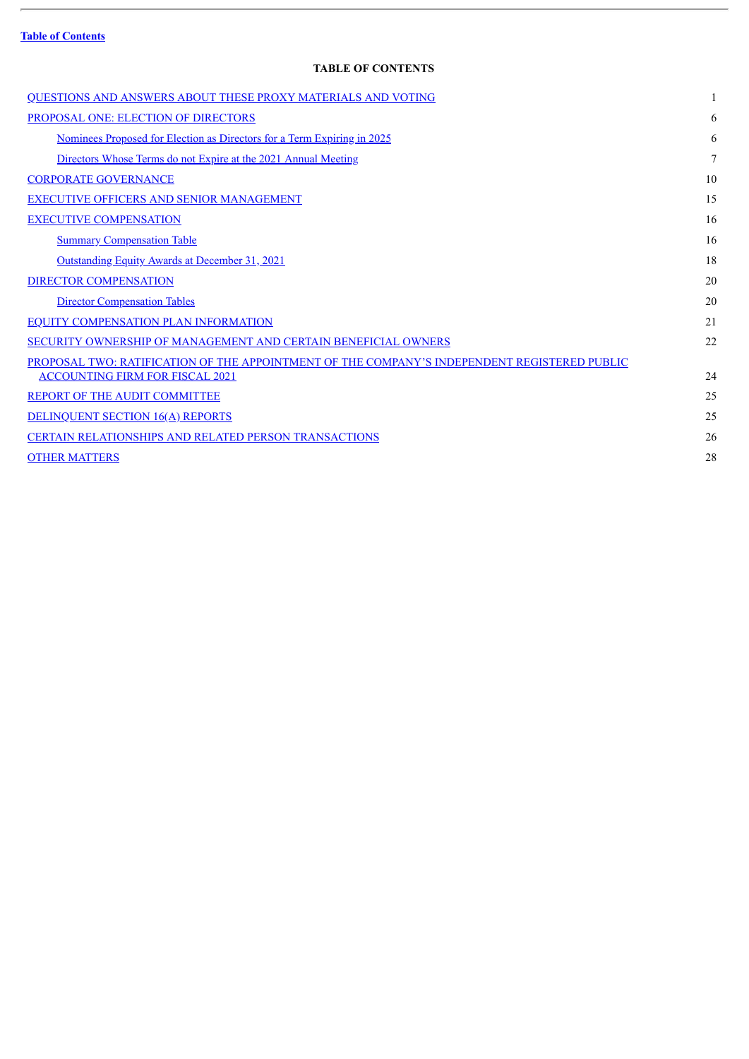# **Table of [Contents](#page-2-0)**

ł.

# **TABLE OF CONTENTS**

<span id="page-2-0"></span>

| QUESTIONS AND ANSWERS ABOUT THESE PROXY MATERIALS AND VOTING                                 |    |
|----------------------------------------------------------------------------------------------|----|
| PROPOSAL ONE: ELECTION OF DIRECTORS                                                          | 6  |
| Nominees Proposed for Election as Directors for a Term Expiring in 2025                      | 6  |
| Directors Whose Terms do not Expire at the 2021 Annual Meeting                               | 7  |
| <b>CORPORATE GOVERNANCE</b>                                                                  | 10 |
| <b>EXECUTIVE OFFICERS AND SENIOR MANAGEMENT</b>                                              | 15 |
| <b>EXECUTIVE COMPENSATION</b>                                                                | 16 |
| <b>Summary Compensation Table</b>                                                            | 16 |
| <b>Outstanding Equity Awards at December 31, 2021</b>                                        | 18 |
| <b>DIRECTOR COMPENSATION</b>                                                                 | 20 |
| <b>Director Compensation Tables</b>                                                          | 20 |
| <b>EQUITY COMPENSATION PLAN INFORMATION</b>                                                  | 21 |
| SECURITY OWNERSHIP OF MANAGEMENT AND CERTAIN BENEFICIAL OWNERS                               | 22 |
| PROPOSAL TWO: RATIFICATION OF THE APPOINTMENT OF THE COMPANY'S INDEPENDENT REGISTERED PUBLIC |    |
| <b>ACCOUNTING FIRM FOR FISCAL 2021</b>                                                       | 24 |
| REPORT OF THE AUDIT COMMITTEE                                                                | 25 |
| <b>DELINQUENT SECTION 16(A) REPORTS</b>                                                      | 25 |
| <b>CERTAIN RELATIONSHIPS AND RELATED PERSON TRANSACTIONS</b>                                 | 26 |
| <b>OTHER MATTERS</b>                                                                         | 28 |
|                                                                                              |    |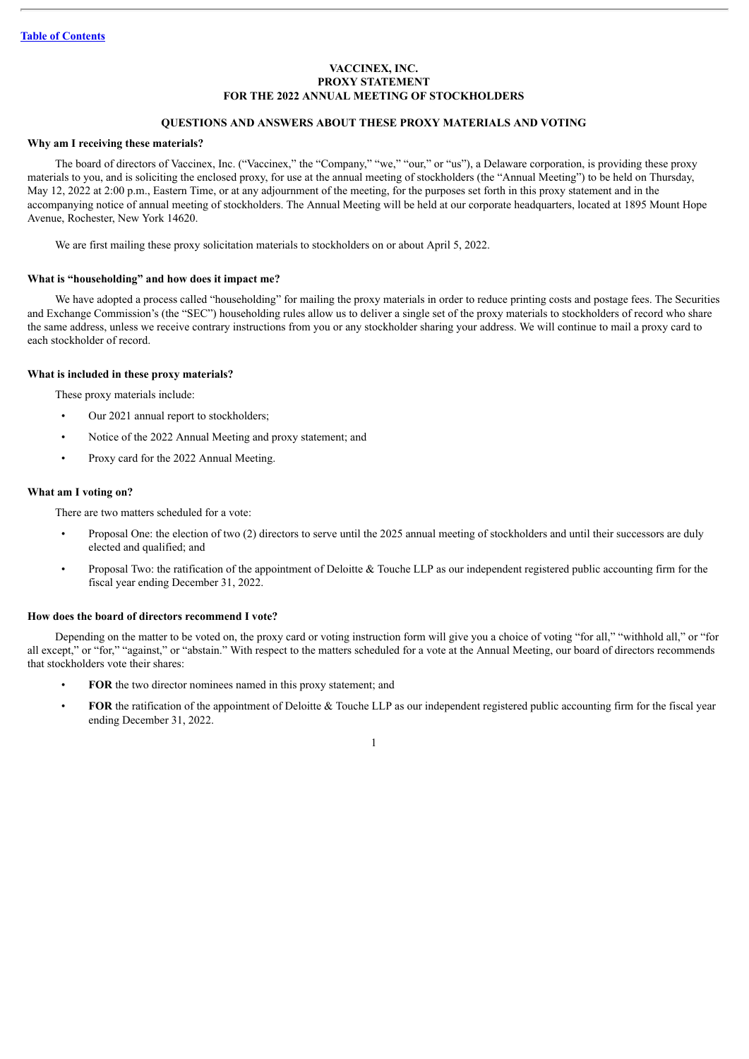# **VACCINEX, INC. PROXY STATEMENT FOR THE 2022 ANNUAL MEETING OF STOCKHOLDERS**

# **QUESTIONS AND ANSWERS ABOUT THESE PROXY MATERIALS AND VOTING**

# <span id="page-3-0"></span>**Why am I receiving these materials?**

The board of directors of Vaccinex, Inc. ("Vaccinex," the "Company," "we," "our," or "us"), a Delaware corporation, is providing these proxy materials to you, and is soliciting the enclosed proxy, for use at the annual meeting of stockholders (the "Annual Meeting") to be held on Thursday, May 12, 2022 at 2:00 p.m., Eastern Time, or at any adjournment of the meeting, for the purposes set forth in this proxy statement and in the accompanying notice of annual meeting of stockholders. The Annual Meeting will be held at our corporate headquarters, located at 1895 Mount Hope Avenue, Rochester, New York 14620.

We are first mailing these proxy solicitation materials to stockholders on or about April 5, 2022.

#### **What is "householding" and how does it impact me?**

We have adopted a process called "householding" for mailing the proxy materials in order to reduce printing costs and postage fees. The Securities and Exchange Commission's (the "SEC") householding rules allow us to deliver a single set of the proxy materials to stockholders of record who share the same address, unless we receive contrary instructions from you or any stockholder sharing your address. We will continue to mail a proxy card to each stockholder of record.

#### **What is included in these proxy materials?**

These proxy materials include:

- Our 2021 annual report to stockholders;
- Notice of the 2022 Annual Meeting and proxy statement; and
- Proxy card for the 2022 Annual Meeting.

# **What am I voting on?**

There are two matters scheduled for a vote:

- Proposal One: the election of two (2) directors to serve until the 2025 annual meeting of stockholders and until their successors are duly elected and qualified; and
- Proposal Two: the ratification of the appointment of Deloitte & Touche LLP as our independent registered public accounting firm for the fiscal year ending December 31, 2022.

#### **How does the board of directors recommend I vote?**

Depending on the matter to be voted on, the proxy card or voting instruction form will give you a choice of voting "for all," "withhold all," or "for all except," or "for," "against," or "abstain." With respect to the matters scheduled for a vote at the Annual Meeting, our board of directors recommends that stockholders vote their shares:

- **FOR** the two director nominees named in this proxy statement; and
- **FOR** the ratification of the appointment of Deloitte & Touche LLP as our independent registered public accounting firm for the fiscal year ending December 31, 2022.

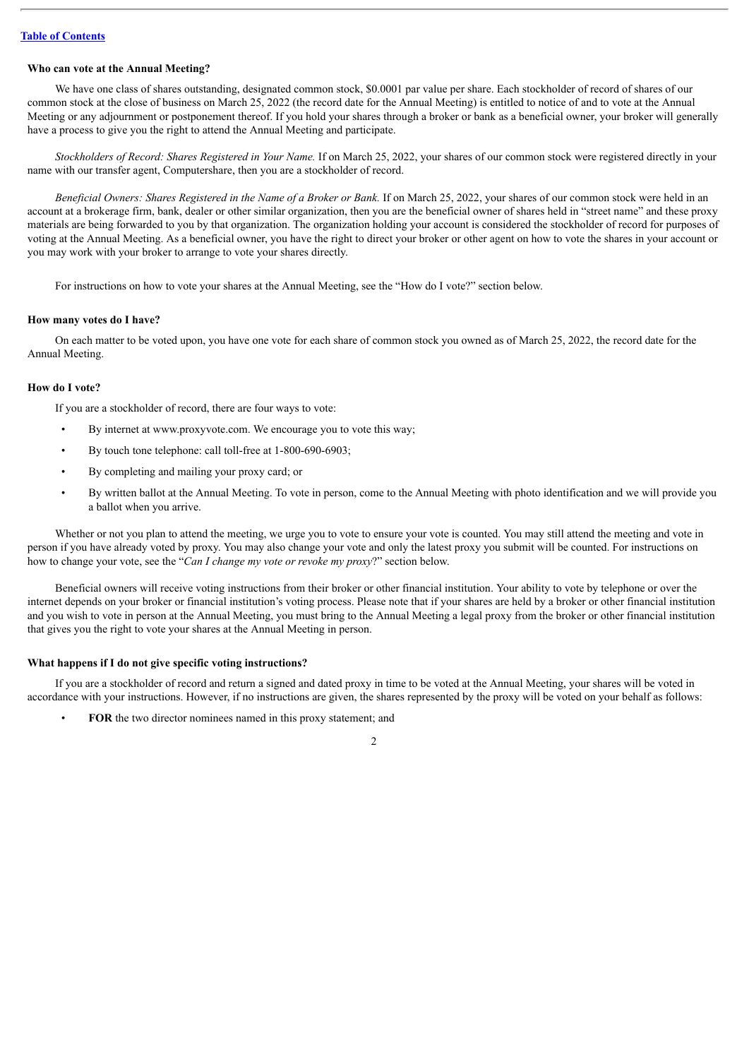#### **Who can vote at the Annual Meeting?**

We have one class of shares outstanding, designated common stock, \$0,0001 par value per share. Each stockholder of record of shares of our common stock at the close of business on March 25, 2022 (the record date for the Annual Meeting) is entitled to notice of and to vote at the Annual Meeting or any adjournment or postponement thereof. If you hold your shares through a broker or bank as a beneficial owner, your broker will generally have a process to give you the right to attend the Annual Meeting and participate.

*Stockholders of Record: Shares Registered in Your Name.* If on March 25, 2022, your shares of our common stock were registered directly in your name with our transfer agent, Computershare, then you are a stockholder of record.

*Beneficial Owners: Shares Registered in the Name of a Broker or Bank.* If on March 25, 2022, your shares of our common stock were held in an account at a brokerage firm, bank, dealer or other similar organization, then you are the beneficial owner of shares held in "street name" and these proxy materials are being forwarded to you by that organization. The organization holding your account is considered the stockholder of record for purposes of voting at the Annual Meeting. As a beneficial owner, you have the right to direct your broker or other agent on how to vote the shares in your account or you may work with your broker to arrange to vote your shares directly.

For instructions on how to vote your shares at the Annual Meeting, see the "How do I vote?" section below.

#### **How many votes do I have?**

On each matter to be voted upon, you have one vote for each share of common stock you owned as of March 25, 2022, the record date for the Annual Meeting.

#### **How do I vote?**

If you are a stockholder of record, there are four ways to vote:

- By internet at www.proxyvote.com. We encourage you to vote this way;
- By touch tone telephone: call toll-free at 1-800-690-6903;
- By completing and mailing your proxy card; or
- By written ballot at the Annual Meeting. To vote in person, come to the Annual Meeting with photo identification and we will provide you a ballot when you arrive.

Whether or not you plan to attend the meeting, we urge you to vote to ensure your vote is counted. You may still attend the meeting and vote in person if you have already voted by proxy. You may also change your vote and only the latest proxy you submit will be counted. For instructions on how to change your vote, see the "*Can I change my vote or revoke my proxy*?" section below.

Beneficial owners will receive voting instructions from their broker or other financial institution. Your ability to vote by telephone or over the internet depends on your broker or financial institution's voting process. Please note that if your shares are held by a broker or other financial institution and you wish to vote in person at the Annual Meeting, you must bring to the Annual Meeting a legal proxy from the broker or other financial institution that gives you the right to vote your shares at the Annual Meeting in person.

#### **What happens if I do not give specific voting instructions?**

If you are a stockholder of record and return a signed and dated proxy in time to be voted at the Annual Meeting, your shares will be voted in accordance with your instructions. However, if no instructions are given, the shares represented by the proxy will be voted on your behalf as follows:

• **FOR** the two director nominees named in this proxy statement; and

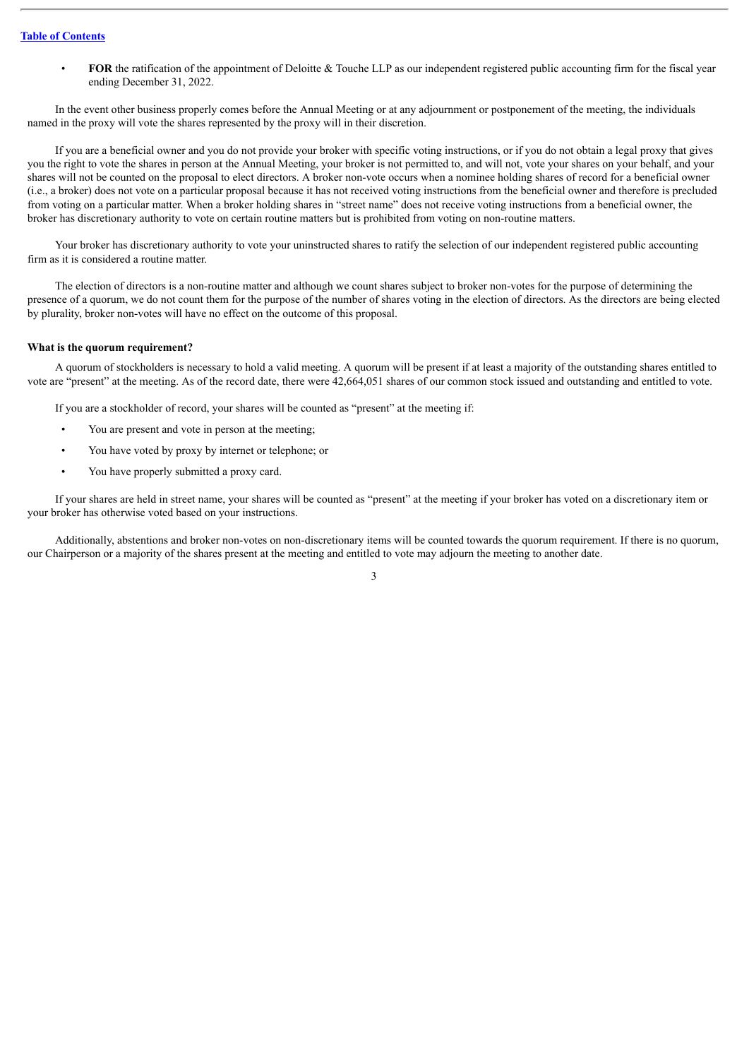## **Table of [Contents](#page-2-0)**

**FOR** the ratification of the appointment of Deloitte & Touche LLP as our independent registered public accounting firm for the fiscal year ending December 31, 2022.

In the event other business properly comes before the Annual Meeting or at any adjournment or postponement of the meeting, the individuals named in the proxy will vote the shares represented by the proxy will in their discretion.

If you are a beneficial owner and you do not provide your broker with specific voting instructions, or if you do not obtain a legal proxy that gives you the right to vote the shares in person at the Annual Meeting, your broker is not permitted to, and will not, vote your shares on your behalf, and your shares will not be counted on the proposal to elect directors. A broker non-vote occurs when a nominee holding shares of record for a beneficial owner (i.e., a broker) does not vote on a particular proposal because it has not received voting instructions from the beneficial owner and therefore is precluded from voting on a particular matter. When a broker holding shares in "street name" does not receive voting instructions from a beneficial owner, the broker has discretionary authority to vote on certain routine matters but is prohibited from voting on non-routine matters.

Your broker has discretionary authority to vote your uninstructed shares to ratify the selection of our independent registered public accounting firm as it is considered a routine matter.

The election of directors is a non-routine matter and although we count shares subject to broker non-votes for the purpose of determining the presence of a quorum, we do not count them for the purpose of the number of shares voting in the election of directors. As the directors are being elected by plurality, broker non-votes will have no effect on the outcome of this proposal.

#### **What is the quorum requirement?**

A quorum of stockholders is necessary to hold a valid meeting. A quorum will be present if at least a majority of the outstanding shares entitled to vote are "present" at the meeting. As of the record date, there were 42,664,051 shares of our common stock issued and outstanding and entitled to vote.

If you are a stockholder of record, your shares will be counted as "present" at the meeting if:

- You are present and vote in person at the meeting;
- You have voted by proxy by internet or telephone; or
- You have properly submitted a proxy card.

If your shares are held in street name, your shares will be counted as "present" at the meeting if your broker has voted on a discretionary item or your broker has otherwise voted based on your instructions.

Additionally, abstentions and broker non-votes on non-discretionary items will be counted towards the quorum requirement. If there is no quorum, our Chairperson or a majority of the shares present at the meeting and entitled to vote may adjourn the meeting to another date.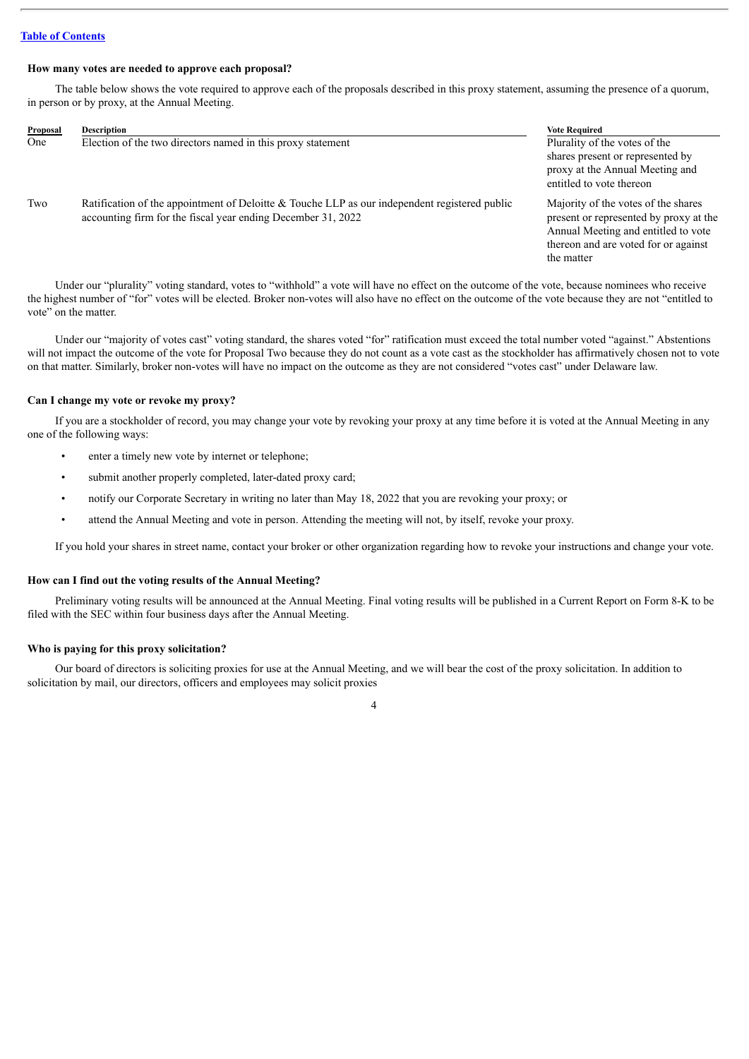## **Table of [Contents](#page-2-0)**

#### **How many votes are needed to approve each proposal?**

The table below shows the vote required to approve each of the proposals described in this proxy statement, assuming the presence of a quorum, in person or by proxy, at the Annual Meeting.

| <b>Proposal</b> | <b>Description</b>                                                                                                                                            | <b>Vote Required</b>                                                                                                                                                       |
|-----------------|---------------------------------------------------------------------------------------------------------------------------------------------------------------|----------------------------------------------------------------------------------------------------------------------------------------------------------------------------|
| One             | Election of the two directors named in this proxy statement                                                                                                   | Plurality of the votes of the<br>shares present or represented by<br>proxy at the Annual Meeting and<br>entitled to vote thereon                                           |
| Two             | Ratification of the appointment of Deloitte & Touche LLP as our independent registered public<br>accounting firm for the fiscal year ending December 31, 2022 | Majority of the votes of the shares<br>present or represented by proxy at the<br>Annual Meeting and entitled to vote<br>thereon and are voted for or against<br>the matter |

Under our "plurality" voting standard, votes to "withhold" a vote will have no effect on the outcome of the vote, because nominees who receive the highest number of "for" votes will be elected. Broker non-votes will also have no effect on the outcome of the vote because they are not "entitled to vote" on the matter.

Under our "majority of votes cast" voting standard, the shares voted "for" ratification must exceed the total number voted "against." Abstentions will not impact the outcome of the vote for Proposal Two because they do not count as a vote cast as the stockholder has affirmatively chosen not to vote on that matter. Similarly, broker non-votes will have no impact on the outcome as they are not considered "votes cast" under Delaware law.

## **Can I change my vote or revoke my proxy?**

If you are a stockholder of record, you may change your vote by revoking your proxy at any time before it is voted at the Annual Meeting in any one of the following ways:

- enter a timely new vote by internet or telephone;
- submit another properly completed, later-dated proxy card;
- notify our Corporate Secretary in writing no later than May 18, 2022 that you are revoking your proxy; or
- attend the Annual Meeting and vote in person. Attending the meeting will not, by itself, revoke your proxy.

If you hold your shares in street name, contact your broker or other organization regarding how to revoke your instructions and change your vote.

#### **How can I find out the voting results of the Annual Meeting?**

Preliminary voting results will be announced at the Annual Meeting. Final voting results will be published in a Current Report on Form 8-K to be filed with the SEC within four business days after the Annual Meeting.

#### **Who is paying for this proxy solicitation?**

Our board of directors is soliciting proxies for use at the Annual Meeting, and we will bear the cost of the proxy solicitation. In addition to solicitation by mail, our directors, officers and employees may solicit proxies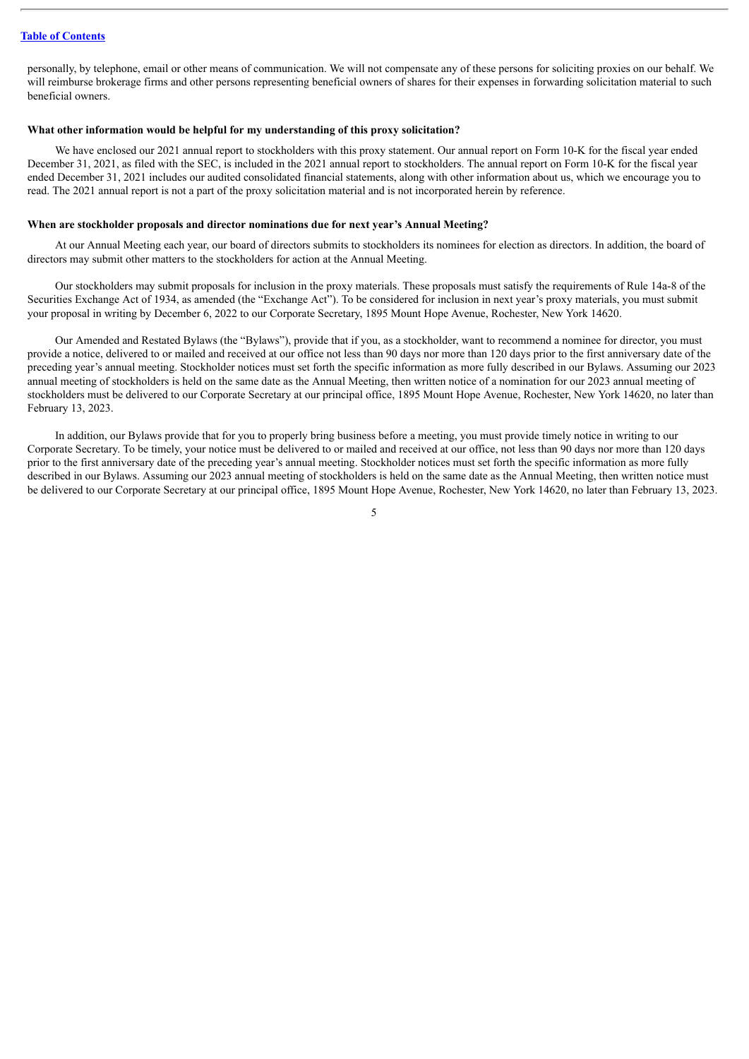personally, by telephone, email or other means of communication. We will not compensate any of these persons for soliciting proxies on our behalf. We will reimburse brokerage firms and other persons representing beneficial owners of shares for their expenses in forwarding solicitation material to such beneficial owners.

#### **What other information would be helpful for my understanding of this proxy solicitation?**

We have enclosed our 2021 annual report to stockholders with this proxy statement. Our annual report on Form 10-K for the fiscal year ended December 31, 2021, as filed with the SEC, is included in the 2021 annual report to stockholders. The annual report on Form 10-K for the fiscal year ended December 31, 2021 includes our audited consolidated financial statements, along with other information about us, which we encourage you to read. The 2021 annual report is not a part of the proxy solicitation material and is not incorporated herein by reference.

# **When are stockholder proposals and director nominations due for next year's Annual Meeting?**

At our Annual Meeting each year, our board of directors submits to stockholders its nominees for election as directors. In addition, the board of directors may submit other matters to the stockholders for action at the Annual Meeting.

Our stockholders may submit proposals for inclusion in the proxy materials. These proposals must satisfy the requirements of Rule 14a-8 of the Securities Exchange Act of 1934, as amended (the "Exchange Act"). To be considered for inclusion in next year's proxy materials, you must submit your proposal in writing by December 6, 2022 to our Corporate Secretary, 1895 Mount Hope Avenue, Rochester, New York 14620.

Our Amended and Restated Bylaws (the "Bylaws"), provide that if you, as a stockholder, want to recommend a nominee for director, you must provide a notice, delivered to or mailed and received at our office not less than 90 days nor more than 120 days prior to the first anniversary date of the preceding year's annual meeting. Stockholder notices must set forth the specific information as more fully described in our Bylaws. Assuming our 2023 annual meeting of stockholders is held on the same date as the Annual Meeting, then written notice of a nomination for our 2023 annual meeting of stockholders must be delivered to our Corporate Secretary at our principal office, 1895 Mount Hope Avenue, Rochester, New York 14620, no later than February 13, 2023.

In addition, our Bylaws provide that for you to properly bring business before a meeting, you must provide timely notice in writing to our Corporate Secretary. To be timely, your notice must be delivered to or mailed and received at our office, not less than 90 days nor more than 120 days prior to the first anniversary date of the preceding year's annual meeting. Stockholder notices must set forth the specific information as more fully described in our Bylaws. Assuming our 2023 annual meeting of stockholders is held on the same date as the Annual Meeting, then written notice must be delivered to our Corporate Secretary at our principal office, 1895 Mount Hope Avenue, Rochester, New York 14620, no later than February 13, 2023.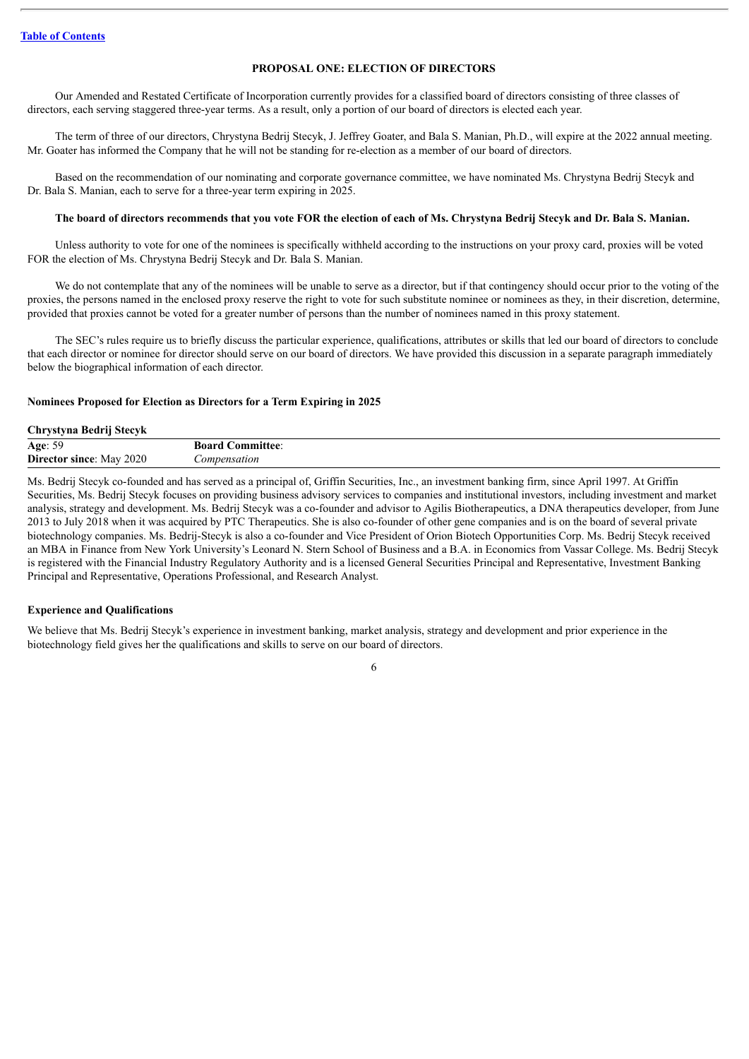# **PROPOSAL ONE: ELECTION OF DIRECTORS**

<span id="page-8-0"></span>Our Amended and Restated Certificate of Incorporation currently provides for a classified board of directors consisting of three classes of directors, each serving staggered three-year terms. As a result, only a portion of our board of directors is elected each year.

The term of three of our directors, Chrystyna Bedrij Stecyk, J. Jeffrey Goater, and Bala S. Manian, Ph.D., will expire at the 2022 annual meeting. Mr. Goater has informed the Company that he will not be standing for re-election as a member of our board of directors.

Based on the recommendation of our nominating and corporate governance committee, we have nominated Ms. Chrystyna Bedrij Stecyk and Dr. Bala S. Manian, each to serve for a three-year term expiring in 2025.

# The board of directors recommends that you vote FOR the election of each of Ms. Chrystyna Bedrii Stecyk and Dr. Bala S. Manian.

Unless authority to vote for one of the nominees is specifically withheld according to the instructions on your proxy card, proxies will be voted FOR the election of Ms. Chrystyna Bedrij Stecyk and Dr. Bala S. Manian.

We do not contemplate that any of the nominees will be unable to serve as a director, but if that contingency should occur prior to the voting of the proxies, the persons named in the enclosed proxy reserve the right to vote for such substitute nominee or nominees as they, in their discretion, determine, provided that proxies cannot be voted for a greater number of persons than the number of nominees named in this proxy statement.

The SEC's rules require us to briefly discuss the particular experience, qualifications, attributes or skills that led our board of directors to conclude that each director or nominee for director should serve on our board of directors. We have provided this discussion in a separate paragraph immediately below the biographical information of each director.

#### <span id="page-8-1"></span>**Nominees Proposed for Election as Directors for a Term Expiring in 2025**

#### **Chrystyna Bedrij Stecyk**

| .<br>.                         |                     |
|--------------------------------|---------------------|
| $\sim$ $\sim$<br>Age: 59<br>5G | :ommittee:<br>Board |
| Director since:<br>2020<br>Mav | ompensation         |
|                                |                     |

Ms. Bedrij Stecyk co-founded and has served as a principal of, Griffin Securities, Inc., an investment banking firm, since April 1997. At Griffin Securities, Ms. Bedrij Stecyk focuses on providing business advisory services to companies and institutional investors, including investment and market analysis, strategy and development. Ms. Bedrij Stecyk was a co-founder and advisor to Agilis Biotherapeutics, a DNA therapeutics developer, from June 2013 to July 2018 when it was acquired by PTC Therapeutics. She is also co-founder of other gene companies and is on the board of several private biotechnology companies. Ms. Bedrij-Stecyk is also a co-founder and Vice President of Orion Biotech Opportunities Corp. Ms. Bedrij Stecyk received an MBA in Finance from New York University's Leonard N. Stern School of Business and a B.A. in Economics from Vassar College. Ms. Bedrij Stecyk is registered with the Financial Industry Regulatory Authority and is a licensed General Securities Principal and Representative, Investment Banking Principal and Representative, Operations Professional, and Research Analyst.

# **Experience and Qualifications**

We believe that Ms. Bedrij Stecyk's experience in investment banking, market analysis, strategy and development and prior experience in the biotechnology field gives her the qualifications and skills to serve on our board of directors.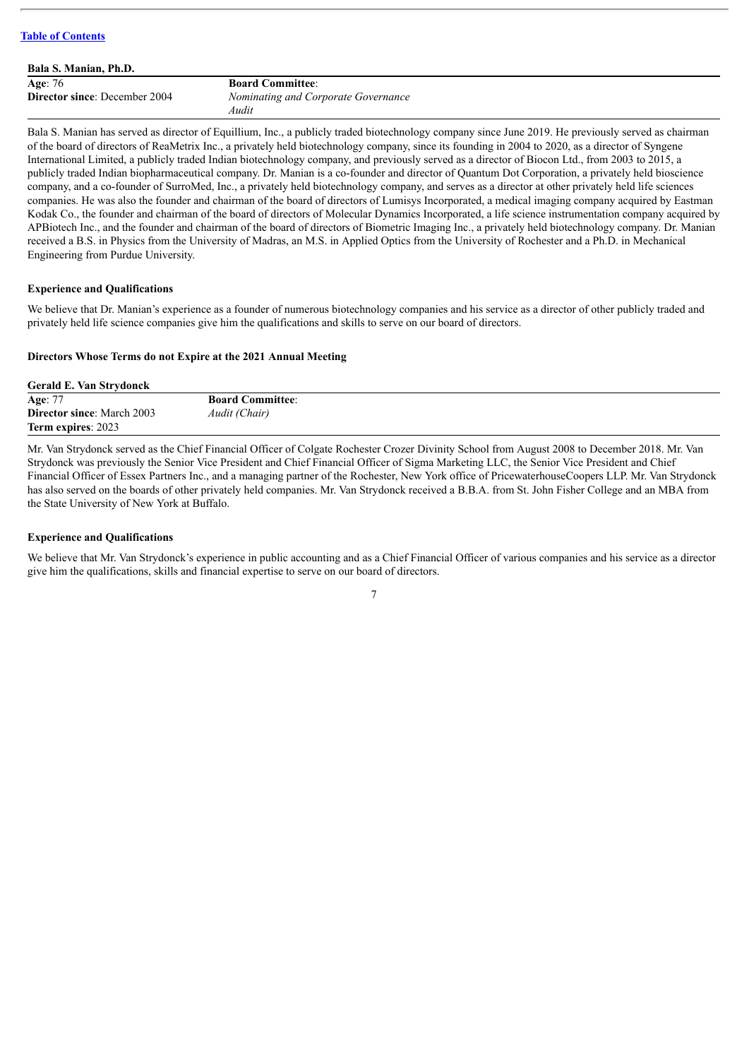| Bala S. Manian, Ph.D.                |                                     |
|--------------------------------------|-------------------------------------|
| Age: 76                              | <b>Board Committee:</b>             |
| <b>Director since:</b> December 2004 | Nominating and Corporate Governance |
|                                      | Audit                               |

Bala S. Manian has served as director of Equillium, Inc., a publicly traded biotechnology company since June 2019. He previously served as chairman of the board of directors of ReaMetrix Inc., a privately held biotechnology company, since its founding in 2004 to 2020, as a director of Syngene International Limited, a publicly traded Indian biotechnology company, and previously served as a director of Biocon Ltd., from 2003 to 2015, a publicly traded Indian biopharmaceutical company. Dr. Manian is a co-founder and director of Quantum Dot Corporation, a privately held bioscience company, and a co-founder of SurroMed, Inc., a privately held biotechnology company, and serves as a director at other privately held life sciences companies. He was also the founder and chairman of the board of directors of Lumisys Incorporated, a medical imaging company acquired by Eastman Kodak Co., the founder and chairman of the board of directors of Molecular Dynamics Incorporated, a life science instrumentation company acquired by APBiotech Inc., and the founder and chairman of the board of directors of Biometric Imaging Inc., a privately held biotechnology company. Dr. Manian received a B.S. in Physics from the University of Madras, an M.S. in Applied Optics from the University of Rochester and a Ph.D. in Mechanical Engineering from Purdue University.

# **Experience and Qualifications**

We believe that Dr. Manian's experience as a founder of numerous biotechnology companies and his service as a director of other publicly traded and privately held life science companies give him the qualifications and skills to serve on our board of directors.

# <span id="page-9-0"></span>**Directors Whose Terms do not Expire at the 2021 Annual Meeting**

| <b>Gerald E. Van Strydonck</b>    |                         |
|-----------------------------------|-------------------------|
| Age: 77                           | <b>Board Committee:</b> |
| <b>Director since:</b> March 2003 | Audit (Chair)           |
| Term expires: 2023                |                         |

Mr. Van Strydonck served as the Chief Financial Officer of Colgate Rochester Crozer Divinity School from August 2008 to December 2018. Mr. Van Strydonck was previously the Senior Vice President and Chief Financial Officer of Sigma Marketing LLC, the Senior Vice President and Chief Financial Officer of Essex Partners Inc., and a managing partner of the Rochester, New York office of PricewaterhouseCoopers LLP. Mr. Van Strydonck has also served on the boards of other privately held companies. Mr. Van Strydonck received a B.B.A. from St. John Fisher College and an MBA from the State University of New York at Buffalo.

# **Experience and Qualifications**

We believe that Mr. Van Strydonck's experience in public accounting and as a Chief Financial Officer of various companies and his service as a director give him the qualifications, skills and financial expertise to serve on our board of directors.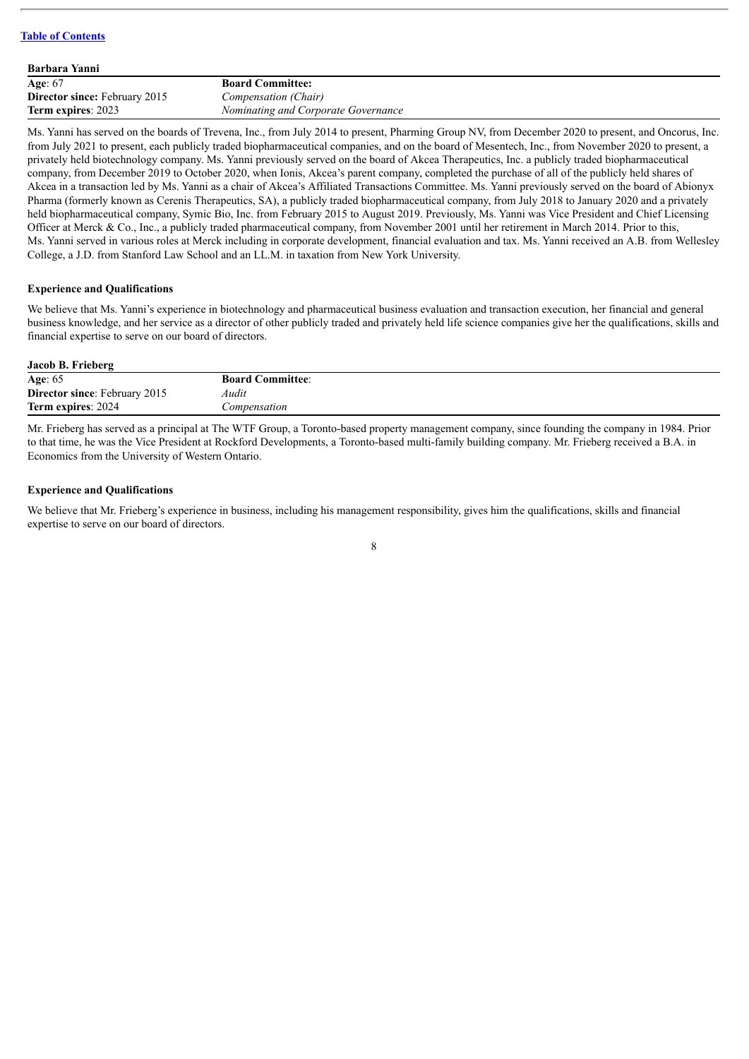| <b>Barbara Yanni</b>                 |                                     |
|--------------------------------------|-------------------------------------|
| Age: 67                              | <b>Board Committee:</b>             |
| <b>Director since: February 2015</b> | Compensation (Chair)                |
| Term expires: 2023                   | Nominating and Corporate Governance |

Ms. Yanni has served on the boards of Trevena, Inc., from July 2014 to present, Pharming Group NV, from December 2020 to present, and Oncorus, Inc. from July 2021 to present, each publicly traded biopharmaceutical companies, and on the board of Mesentech, Inc., from November 2020 to present, a privately held biotechnology company. Ms. Yanni previously served on the board of Akcea Therapeutics, Inc. a publicly traded biopharmaceutical company, from December 2019 to October 2020, when Ionis, Akcea's parent company, completed the purchase of all of the publicly held shares of Akcea in a transaction led by Ms. Yanni as a chair of Akcea's Affiliated Transactions Committee. Ms. Yanni previously served on the board of Abionyx Pharma (formerly known as Cerenis Therapeutics, SA), a publicly traded biopharmaceutical company, from July 2018 to January 2020 and a privately held biopharmaceutical company, Symic Bio, Inc. from February 2015 to August 2019. Previously, Ms. Yanni was Vice President and Chief Licensing Officer at Merck & Co., Inc., a publicly traded pharmaceutical company, from November 2001 until her retirement in March 2014. Prior to this, Ms. Yanni served in various roles at Merck including in corporate development, financial evaluation and tax. Ms. Yanni received an A.B. from Wellesley College, a J.D. from Stanford Law School and an LL.M. in taxation from New York University.

# **Experience and Qualifications**

We believe that Ms. Yanni's experience in biotechnology and pharmaceutical business evaluation and transaction execution, her financial and general business knowledge, and her service as a director of other publicly traded and privately held life science companies give her the qualifications, skills and financial expertise to serve on our board of directors.

# **Jacob B. Frieberg**

| Age: $65$                            | <b>Board Committee:</b> |
|--------------------------------------|-------------------------|
| <b>Director since: February 2015</b> | Audit                   |
| Term expires: 2024                   | Compensation            |
|                                      |                         |

Mr. Frieberg has served as a principal at The WTF Group, a Toronto-based property management company, since founding the company in 1984. Prior to that time, he was the Vice President at Rockford Developments, a Toronto-based multi-family building company. Mr. Frieberg received a B.A. in Economics from the University of Western Ontario.

#### **Experience and Qualifications**

We believe that Mr. Frieberg's experience in business, including his management responsibility, gives him the qualifications, skills and financial expertise to serve on our board of directors.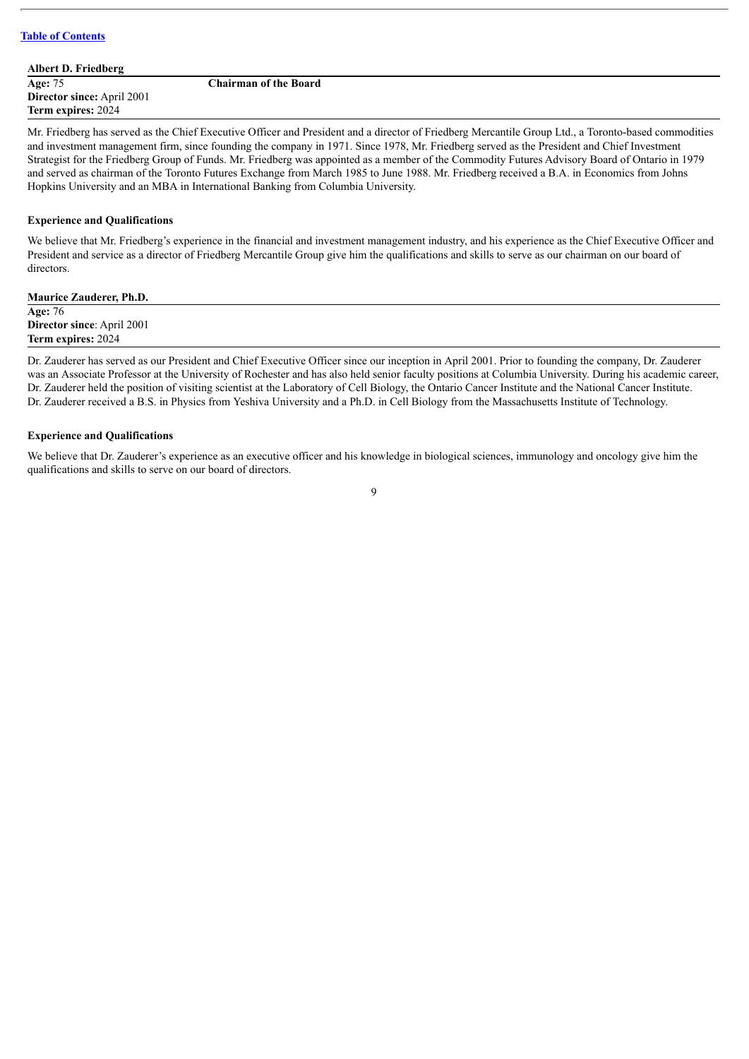**Albert D. Friedberg Age:** 75 **Director since:** April 2001 **Term expires:** 2024

**Chairman of the Board**

Mr. Friedberg has served as the Chief Executive Officer and President and a director of Friedberg Mercantile Group Ltd., a Toronto-based commodities and investment management firm, since founding the company in 1971. Since 1978, Mr. Friedberg served as the President and Chief Investment Strategist for the Friedberg Group of Funds. Mr. Friedberg was appointed as a member of the Commodity Futures Advisory Board of Ontario in 1979 and served as chairman of the Toronto Futures Exchange from March 1985 to June 1988. Mr. Friedberg received a B.A. in Economics from Johns Hopkins University and an MBA in International Banking from Columbia University.

# **Experience and Qualifications**

We believe that Mr. Friedberg's experience in the financial and investment management industry, and his experience as the Chief Executive Officer and President and service as a director of Friedberg Mercantile Group give him the qualifications and skills to serve as our chairman on our board of directors.

| <b>Maurice Zauderer, Ph.D.</b>    |  |
|-----------------------------------|--|
| Age: 76                           |  |
| <b>Director since: April 2001</b> |  |
| <b>Term expires: 2024</b>         |  |
|                                   |  |

Dr. Zauderer has served as our President and Chief Executive Officer since our inception in April 2001. Prior to founding the company, Dr. Zauderer was an Associate Professor at the University of Rochester and has also held senior faculty positions at Columbia University. During his academic career, Dr. Zauderer held the position of visiting scientist at the Laboratory of Cell Biology, the Ontario Cancer Institute and the National Cancer Institute. Dr. Zauderer received a B.S. in Physics from Yeshiva University and a Ph.D. in Cell Biology from the Massachusetts Institute of Technology.

# **Experience and Qualifications**

We believe that Dr. Zauderer's experience as an executive officer and his knowledge in biological sciences, immunology and oncology give him the qualifications and skills to serve on our board of directors.

 $\overline{Q}$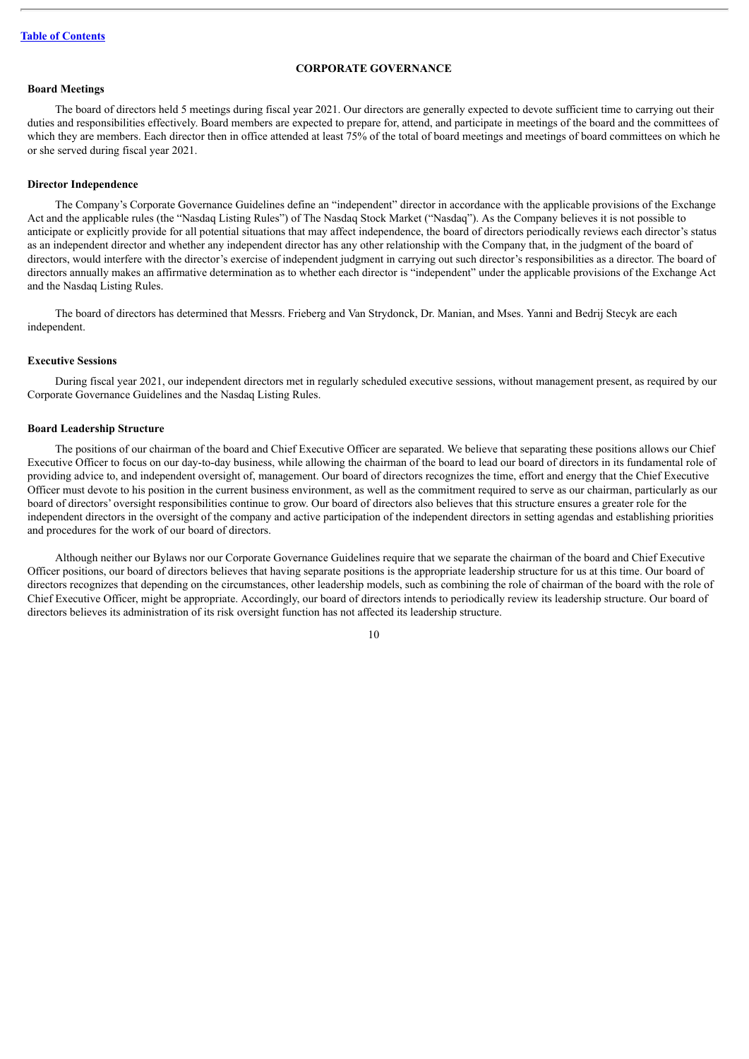#### **CORPORATE GOVERNANCE**

# <span id="page-12-0"></span>**Board Meetings**

The board of directors held 5 meetings during fiscal year 2021. Our directors are generally expected to devote sufficient time to carrying out their duties and responsibilities effectively. Board members are expected to prepare for, attend, and participate in meetings of the board and the committees of which they are members. Each director then in office attended at least 75% of the total of board meetings and meetings of board committees on which he or she served during fiscal year 2021.

#### **Director Independence**

The Company's Corporate Governance Guidelines define an "independent" director in accordance with the applicable provisions of the Exchange Act and the applicable rules (the "Nasdaq Listing Rules") of The Nasdaq Stock Market ("Nasdaq"). As the Company believes it is not possible to anticipate or explicitly provide for all potential situations that may affect independence, the board of directors periodically reviews each director's status as an independent director and whether any independent director has any other relationship with the Company that, in the judgment of the board of directors, would interfere with the director's exercise of independent judgment in carrying out such director's responsibilities as a director. The board of directors annually makes an affirmative determination as to whether each director is "independent" under the applicable provisions of the Exchange Act and the Nasdaq Listing Rules.

The board of directors has determined that Messrs. Frieberg and Van Strydonck, Dr. Manian, and Mses. Yanni and Bedrij Stecyk are each independent.

#### **Executive Sessions**

During fiscal year 2021, our independent directors met in regularly scheduled executive sessions, without management present, as required by our Corporate Governance Guidelines and the Nasdaq Listing Rules.

#### **Board Leadership Structure**

The positions of our chairman of the board and Chief Executive Officer are separated. We believe that separating these positions allows our Chief Executive Officer to focus on our day-to-day business, while allowing the chairman of the board to lead our board of directors in its fundamental role of providing advice to, and independent oversight of, management. Our board of directors recognizes the time, effort and energy that the Chief Executive Officer must devote to his position in the current business environment, as well as the commitment required to serve as our chairman, particularly as our board of directors' oversight responsibilities continue to grow. Our board of directors also believes that this structure ensures a greater role for the independent directors in the oversight of the company and active participation of the independent directors in setting agendas and establishing priorities and procedures for the work of our board of directors.

Although neither our Bylaws nor our Corporate Governance Guidelines require that we separate the chairman of the board and Chief Executive Officer positions, our board of directors believes that having separate positions is the appropriate leadership structure for us at this time. Our board of directors recognizes that depending on the circumstances, other leadership models, such as combining the role of chairman of the board with the role of Chief Executive Officer, might be appropriate. Accordingly, our board of directors intends to periodically review its leadership structure. Our board of directors believes its administration of its risk oversight function has not affected its leadership structure.

 $1<sub>0</sub>$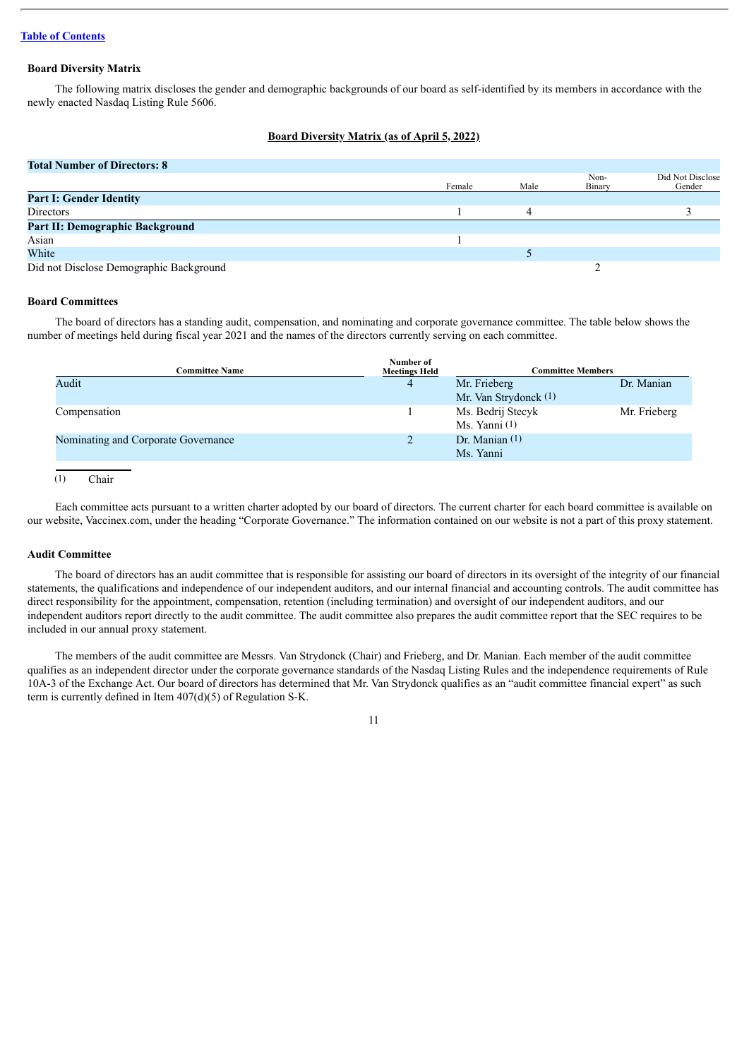# **Board Diversity Matrix**

The following matrix discloses the gender and demographic backgrounds of our board as self-identified by its members in accordance with the newly enacted Nasdaq Listing Rule 5606.

#### **Board Diversity Matrix (as of April 5, 2022)**

#### **Total Number of Directors: 8**

|                                         | Female | Male | Non-<br>Binary | Did Not Disclose<br>Gender |
|-----------------------------------------|--------|------|----------------|----------------------------|
| <b>Part I: Gender Identity</b>          |        |      |                |                            |
| Directors                               |        |      |                |                            |
| Part II: Demographic Background         |        |      |                |                            |
| Asian                                   |        |      |                |                            |
| White                                   |        |      |                |                            |
| Did not Disclose Demographic Background |        |      |                |                            |

#### **Board Committees**

The board of directors has a standing audit, compensation, and nominating and corporate governance committee. The table below shows the number of meetings held during fiscal year 2021 and the names of the directors currently serving on each committee.

| Number of<br><b>Meetings Held</b> | <b>Committee Members</b> |              |  |
|-----------------------------------|--------------------------|--------------|--|
| 4                                 | Mr. Frieberg             | Dr. Manian   |  |
|                                   | Mr. Van Strydonck (1)    |              |  |
|                                   | Ms. Bedrij Stecyk        | Mr. Frieberg |  |
|                                   | Ms. Yanni $(1)$          |              |  |
|                                   | Dr. Manian $(1)$         |              |  |
|                                   | Ms. Yanni                |              |  |
|                                   |                          |              |  |

 $(1)$  Chair

Each committee acts pursuant to a written charter adopted by our board of directors. The current charter for each board committee is available on our website, Vaccinex.com, under the heading "Corporate Governance." The information contained on our website is not a part of this proxy statement.

#### **Audit Committee**

The board of directors has an audit committee that is responsible for assisting our board of directors in its oversight of the integrity of our financial statements, the qualifications and independence of our independent auditors, and our internal financial and accounting controls. The audit committee has direct responsibility for the appointment, compensation, retention (including termination) and oversight of our independent auditors, and our independent auditors report directly to the audit committee. The audit committee also prepares the audit committee report that the SEC requires to be included in our annual proxy statement.

The members of the audit committee are Messrs. Van Strydonck (Chair) and Frieberg, and Dr. Manian. Each member of the audit committee qualifies as an independent director under the corporate governance standards of the Nasdaq Listing Rules and the independence requirements of Rule 10A-3 of the Exchange Act. Our board of directors has determined that Mr. Van Strydonck qualifies as an "audit committee financial expert" as such term is currently defined in Item 407(d)(5) of Regulation S-K.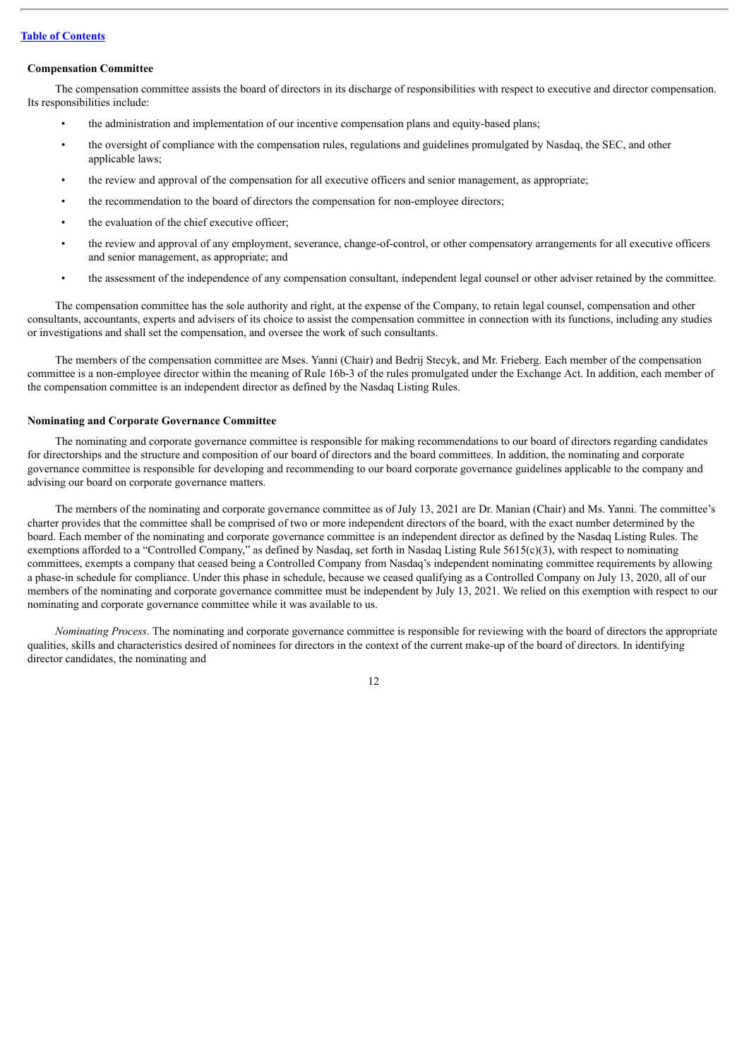# **Compensation Committee**

The compensation committee assists the board of directors in its discharge of responsibilities with respect to executive and director compensation. Its responsibilities include:

- the administration and implementation of our incentive compensation plans and equity-based plans;
- the oversight of compliance with the compensation rules, regulations and guidelines promulgated by Nasdaq, the SEC, and other applicable laws;
- the review and approval of the compensation for all executive officers and senior management, as appropriate;
- the recommendation to the board of directors the compensation for non-employee directors;
- the evaluation of the chief executive officer;
- the review and approval of any employment, severance, change-of-control, or other compensatory arrangements for all executive officers and senior management, as appropriate; and
- the assessment of the independence of any compensation consultant, independent legal counsel or other adviser retained by the committee.

The compensation committee has the sole authority and right, at the expense of the Company, to retain legal counsel, compensation and other consultants, accountants, experts and advisers of its choice to assist the compensation committee in connection with its functions, including any studies or investigations and shall set the compensation, and oversee the work of such consultants.

The members of the compensation committee are Mses. Yanni (Chair) and Bedrij Stecyk, and Mr. Frieberg. Each member of the compensation committee is a non-employee director within the meaning of Rule 16b-3 of the rules promulgated under the Exchange Act. In addition, each member of the compensation committee is an independent director as defined by the Nasdaq Listing Rules.

# **Nominating and Corporate Governance Committee**

The nominating and corporate governance committee is responsible for making recommendations to our board of directors regarding candidates for directorships and the structure and composition of our board of directors and the board committees. In addition, the nominating and corporate governance committee is responsible for developing and recommending to our board corporate governance guidelines applicable to the company and advising our board on corporate governance matters.

The members of the nominating and corporate governance committee as of July 13, 2021 are Dr. Manian (Chair) and Ms. Yanni. The committee's charter provides that the committee shall be comprised of two or more independent directors of the board, with the exact number determined by the board. Each member of the nominating and corporate governance committee is an independent director as defined by the Nasdaq Listing Rules. The exemptions afforded to a "Controlled Company," as defined by Nasdaq, set forth in Nasdaq Listing Rule 5615(c)(3), with respect to nominating committees, exempts a company that ceased being a Controlled Company from Nasdaq's independent nominating committee requirements by allowing a phase-in schedule for compliance. Under this phase in schedule, because we ceased qualifying as a Controlled Company on July 13, 2020, all of our members of the nominating and corporate governance committee must be independent by July 13, 2021. We relied on this exemption with respect to our nominating and corporate governance committee while it was available to us.

*Nominating Process*. The nominating and corporate governance committee is responsible for reviewing with the board of directors the appropriate qualities, skills and characteristics desired of nominees for directors in the context of the current make-up of the board of directors. In identifying director candidates, the nominating and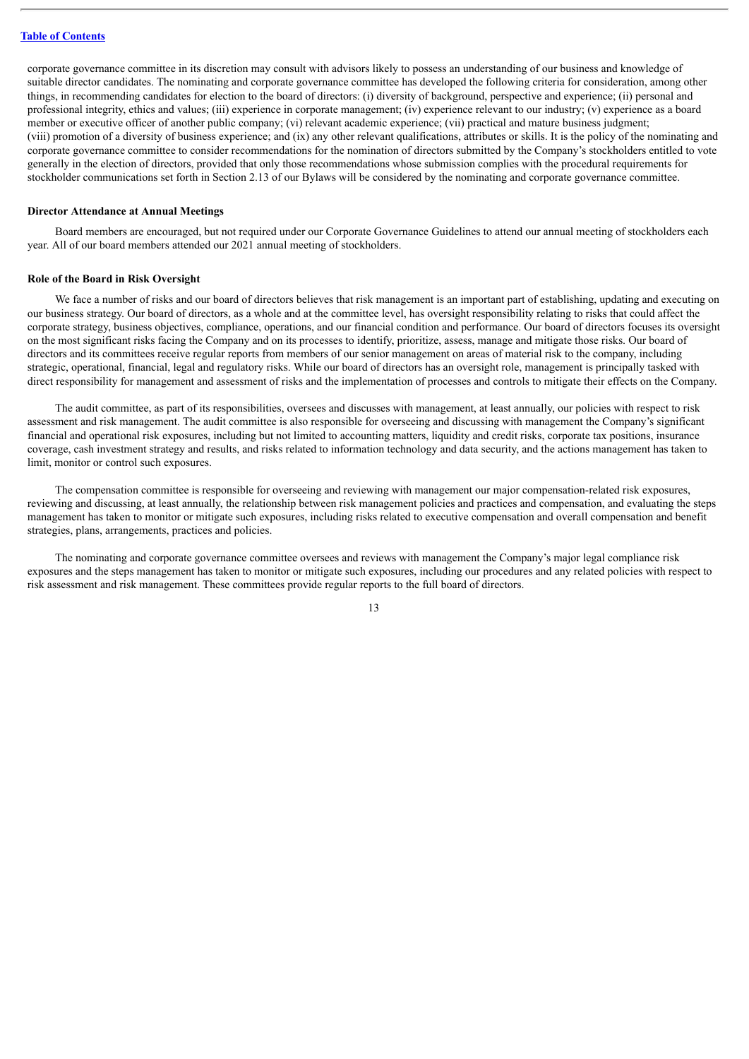corporate governance committee in its discretion may consult with advisors likely to possess an understanding of our business and knowledge of suitable director candidates. The nominating and corporate governance committee has developed the following criteria for consideration, among other things, in recommending candidates for election to the board of directors: (i) diversity of background, perspective and experience; (ii) personal and professional integrity, ethics and values; (iii) experience in corporate management; (iv) experience relevant to our industry; (v) experience as a board member or executive officer of another public company; (vi) relevant academic experience; (vii) practical and mature business judgment; (viii) promotion of a diversity of business experience; and (ix) any other relevant qualifications, attributes or skills. It is the policy of the nominating and corporate governance committee to consider recommendations for the nomination of directors submitted by the Company's stockholders entitled to vote generally in the election of directors, provided that only those recommendations whose submission complies with the procedural requirements for stockholder communications set forth in Section 2.13 of our Bylaws will be considered by the nominating and corporate governance committee.

#### **Director Attendance at Annual Meetings**

Board members are encouraged, but not required under our Corporate Governance Guidelines to attend our annual meeting of stockholders each year. All of our board members attended our 2021 annual meeting of stockholders.

#### **Role of the Board in Risk Oversight**

We face a number of risks and our board of directors believes that risk management is an important part of establishing, updating and executing on our business strategy. Our board of directors, as a whole and at the committee level, has oversight responsibility relating to risks that could affect the corporate strategy, business objectives, compliance, operations, and our financial condition and performance. Our board of directors focuses its oversight on the most significant risks facing the Company and on its processes to identify, prioritize, assess, manage and mitigate those risks. Our board of directors and its committees receive regular reports from members of our senior management on areas of material risk to the company, including strategic, operational, financial, legal and regulatory risks. While our board of directors has an oversight role, management is principally tasked with direct responsibility for management and assessment of risks and the implementation of processes and controls to mitigate their effects on the Company.

The audit committee, as part of its responsibilities, oversees and discusses with management, at least annually, our policies with respect to risk assessment and risk management. The audit committee is also responsible for overseeing and discussing with management the Company's significant financial and operational risk exposures, including but not limited to accounting matters, liquidity and credit risks, corporate tax positions, insurance coverage, cash investment strategy and results, and risks related to information technology and data security, and the actions management has taken to limit, monitor or control such exposures.

The compensation committee is responsible for overseeing and reviewing with management our major compensation-related risk exposures, reviewing and discussing, at least annually, the relationship between risk management policies and practices and compensation, and evaluating the steps management has taken to monitor or mitigate such exposures, including risks related to executive compensation and overall compensation and benefit strategies, plans, arrangements, practices and policies.

The nominating and corporate governance committee oversees and reviews with management the Company's major legal compliance risk exposures and the steps management has taken to monitor or mitigate such exposures, including our procedures and any related policies with respect to risk assessment and risk management. These committees provide regular reports to the full board of directors.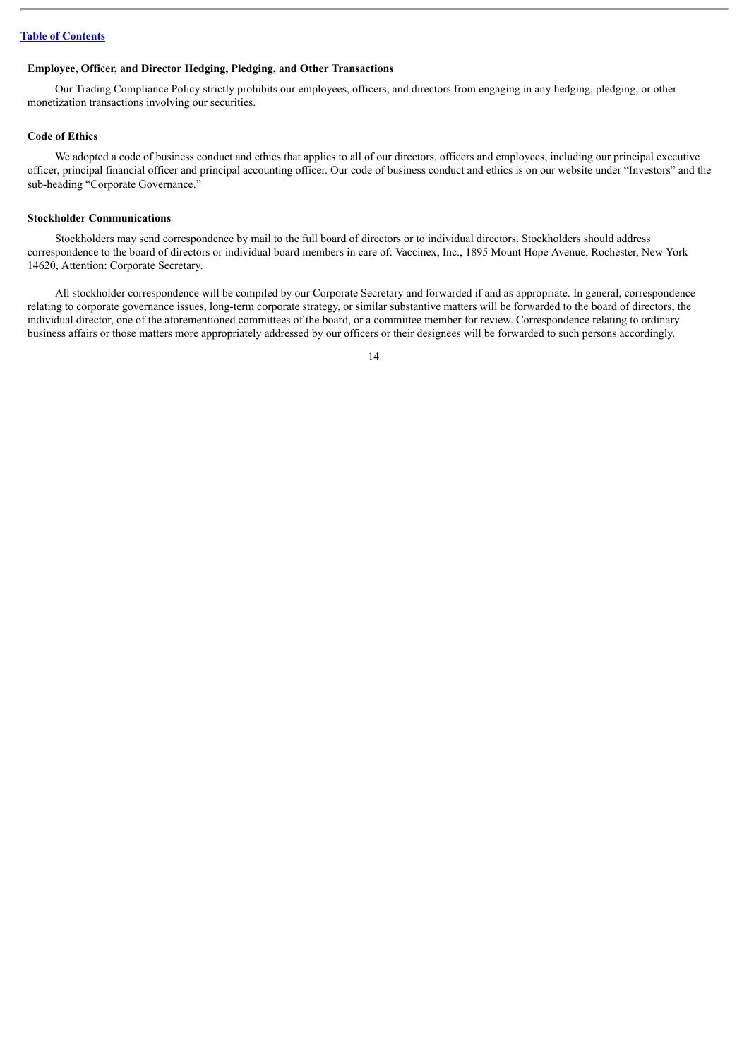#### **Employee, Officer, and Director Hedging, Pledging, and Other Transactions**

Our Trading Compliance Policy strictly prohibits our employees, officers, and directors from engaging in any hedging, pledging, or other monetization transactions involving our securities.

## **Code of Ethics**

We adopted a code of business conduct and ethics that applies to all of our directors, officers and employees, including our principal executive officer, principal financial officer and principal accounting officer. Our code of business conduct and ethics is on our website under "Investors" and the sub-heading "Corporate Governance."

# **Stockholder Communications**

Stockholders may send correspondence by mail to the full board of directors or to individual directors. Stockholders should address correspondence to the board of directors or individual board members in care of: Vaccinex, Inc., 1895 Mount Hope Avenue, Rochester, New York 14620, Attention: Corporate Secretary.

All stockholder correspondence will be compiled by our Corporate Secretary and forwarded if and as appropriate. In general, correspondence relating to corporate governance issues, long-term corporate strategy, or similar substantive matters will be forwarded to the board of directors, the individual director, one of the aforementioned committees of the board, or a committee member for review. Correspondence relating to ordinary business affairs or those matters more appropriately addressed by our officers or their designees will be forwarded to such persons accordingly.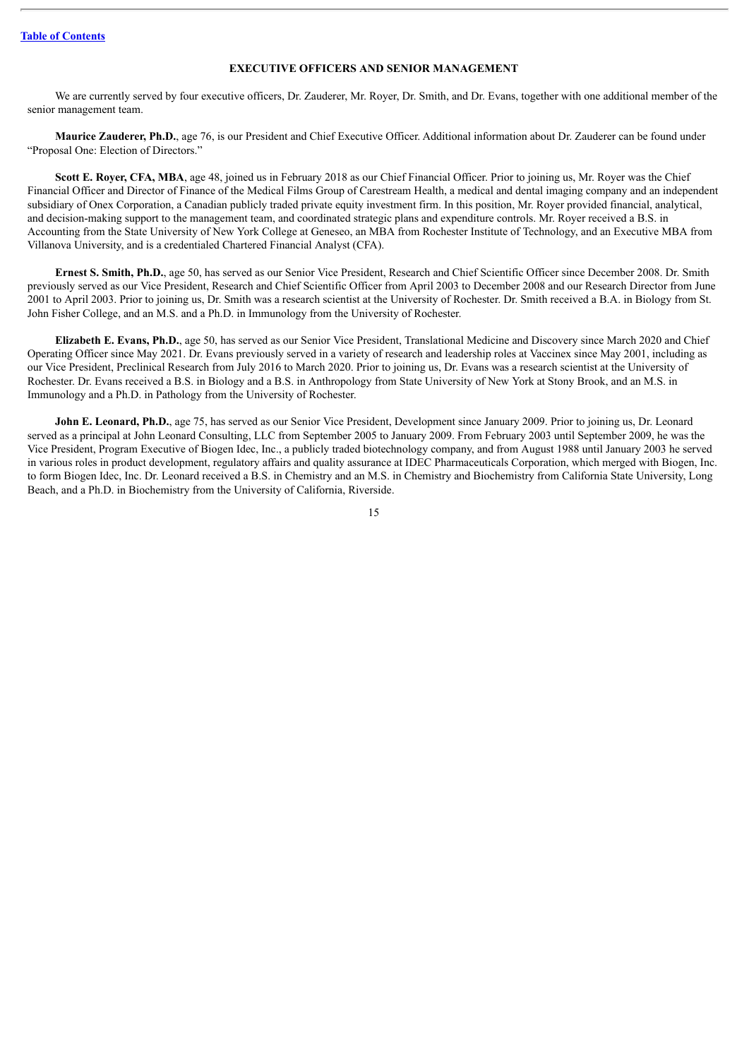# **EXECUTIVE OFFICERS AND SENIOR MANAGEMENT**

<span id="page-17-0"></span>We are currently served by four executive officers, Dr. Zauderer, Mr. Royer, Dr. Smith, and Dr. Evans, together with one additional member of the senior management team.

**Maurice Zauderer, Ph.D.**, age 76, is our President and Chief Executive Officer. Additional information about Dr. Zauderer can be found under "Proposal One: Election of Directors."

**Scott E. Royer, CFA, MBA**, age 48, joined us in February 2018 as our Chief Financial Officer. Prior to joining us, Mr. Royer was the Chief Financial Officer and Director of Finance of the Medical Films Group of Carestream Health, a medical and dental imaging company and an independent subsidiary of Onex Corporation, a Canadian publicly traded private equity investment firm. In this position, Mr. Royer provided financial, analytical, and decision-making support to the management team, and coordinated strategic plans and expenditure controls. Mr. Royer received a B.S. in Accounting from the State University of New York College at Geneseo, an MBA from Rochester Institute of Technology, and an Executive MBA from Villanova University, and is a credentialed Chartered Financial Analyst (CFA).

**Ernest S. Smith, Ph.D.**, age 50, has served as our Senior Vice President, Research and Chief Scientific Officer since December 2008. Dr. Smith previously served as our Vice President, Research and Chief Scientific Officer from April 2003 to December 2008 and our Research Director from June 2001 to April 2003. Prior to joining us, Dr. Smith was a research scientist at the University of Rochester. Dr. Smith received a B.A. in Biology from St. John Fisher College, and an M.S. and a Ph.D. in Immunology from the University of Rochester.

**Elizabeth E. Evans, Ph.D.**, age 50, has served as our Senior Vice President, Translational Medicine and Discovery since March 2020 and Chief Operating Officer since May 2021. Dr. Evans previously served in a variety of research and leadership roles at Vaccinex since May 2001, including as our Vice President, Preclinical Research from July 2016 to March 2020. Prior to joining us, Dr. Evans was a research scientist at the University of Rochester. Dr. Evans received a B.S. in Biology and a B.S. in Anthropology from State University of New York at Stony Brook, and an M.S. in Immunology and a Ph.D. in Pathology from the University of Rochester.

**John E. Leonard, Ph.D.**, age 75, has served as our Senior Vice President, Development since January 2009. Prior to joining us, Dr. Leonard served as a principal at John Leonard Consulting, LLC from September 2005 to January 2009. From February 2003 until September 2009, he was the Vice President, Program Executive of Biogen Idec, Inc., a publicly traded biotechnology company, and from August 1988 until January 2003 he served in various roles in product development, regulatory affairs and quality assurance at IDEC Pharmaceuticals Corporation, which merged with Biogen, Inc. to form Biogen Idec, Inc. Dr. Leonard received a B.S. in Chemistry and an M.S. in Chemistry and Biochemistry from California State University, Long Beach, and a Ph.D. in Biochemistry from the University of California, Riverside.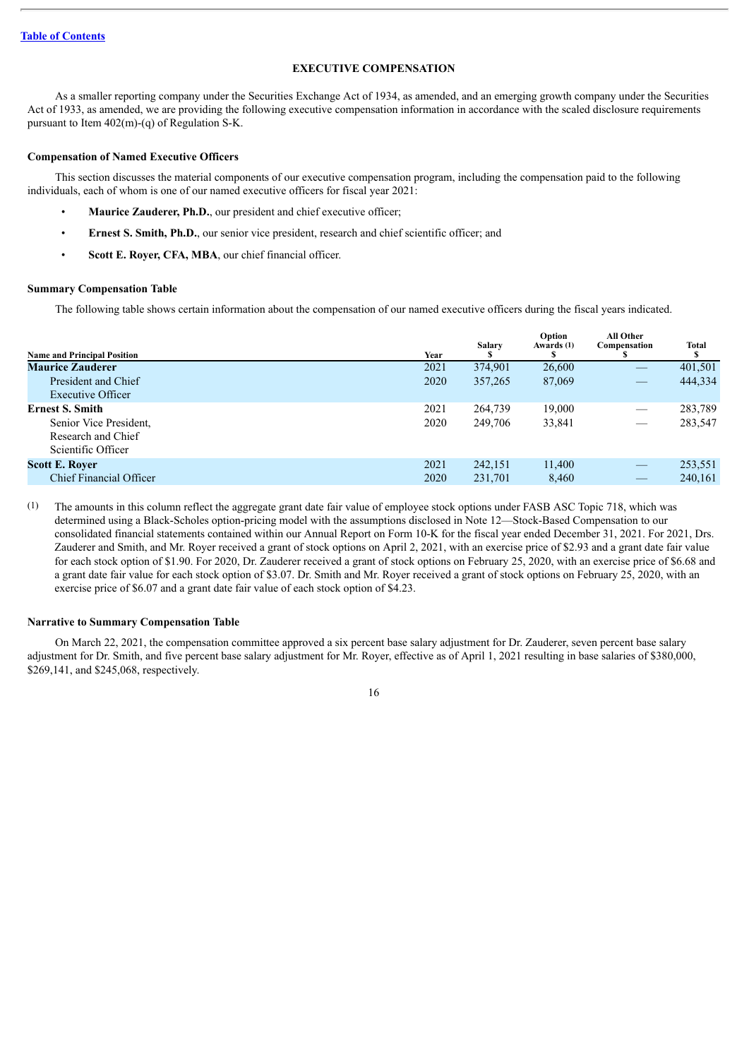# **EXECUTIVE COMPENSATION**

<span id="page-18-0"></span>As a smaller reporting company under the Securities Exchange Act of 1934, as amended, and an emerging growth company under the Securities Act of 1933, as amended, we are providing the following executive compensation information in accordance with the scaled disclosure requirements pursuant to Item 402(m)-(q) of Regulation S-K.

# **Compensation of Named Executive Officers**

This section discusses the material components of our executive compensation program, including the compensation paid to the following individuals, each of whom is one of our named executive officers for fiscal year 2021:

- **Maurice Zauderer, Ph.D.**, our president and chief executive officer;
- **Ernest S. Smith, Ph.D.**, our senior vice president, research and chief scientific officer; and
- **Scott E. Royer, CFA, MBA**, our chief financial officer.

# <span id="page-18-1"></span>**Summary Compensation Table**

The following table shows certain information about the compensation of our named executive officers during the fiscal years indicated.

| <b>Name and Principal Position</b>                                                           | Year         | <b>Salary</b>      | Option<br>Awards (1) | All Other<br>Compensation<br>æ | Total<br>S         |
|----------------------------------------------------------------------------------------------|--------------|--------------------|----------------------|--------------------------------|--------------------|
| <b>Maurice Zauderer</b>                                                                      | 2021         | 374,901            | 26,600               |                                | 401,501            |
| President and Chief<br>Executive Officer                                                     | 2020         | 357,265            | 87,069               |                                | 444,334            |
| <b>Ernest S. Smith</b><br>Senior Vice President.<br>Research and Chief<br>Scientific Officer | 2021<br>2020 | 264,739<br>249,706 | 19,000<br>33,841     | $\overbrace{\phantom{12332}}$  | 283,789<br>283,547 |
| <b>Scott E. Royer</b><br><b>Chief Financial Officer</b>                                      | 2021<br>2020 | 242,151<br>231,701 | 11,400<br>8,460      | $\overbrace{\hspace{25mm}}^{}$ | 253,551<br>240,161 |

(1) The amounts in this column reflect the aggregate grant date fair value of employee stock options under FASB ASC Topic 718, which was determined using a Black-Scholes option-pricing model with the assumptions disclosed in Note 12—Stock-Based Compensation to our consolidated financial statements contained within our Annual Report on Form 10-K for the fiscal year ended December 31, 2021. For 2021, Drs. Zauderer and Smith, and Mr. Royer received a grant of stock options on April 2, 2021, with an exercise price of \$2.93 and a grant date fair value for each stock option of \$1.90. For 2020, Dr. Zauderer received a grant of stock options on February 25, 2020, with an exercise price of \$6.68 and a grant date fair value for each stock option of \$3.07. Dr. Smith and Mr. Royer received a grant of stock options on February 25, 2020, with an exercise price of \$6.07 and a grant date fair value of each stock option of \$4.23.

#### **Narrative to Summary Compensation Table**

On March 22, 2021, the compensation committee approved a six percent base salary adjustment for Dr. Zauderer, seven percent base salary adjustment for Dr. Smith, and five percent base salary adjustment for Mr. Royer, effective as of April 1, 2021 resulting in base salaries of \$380,000, \$269,141, and \$245,068, respectively.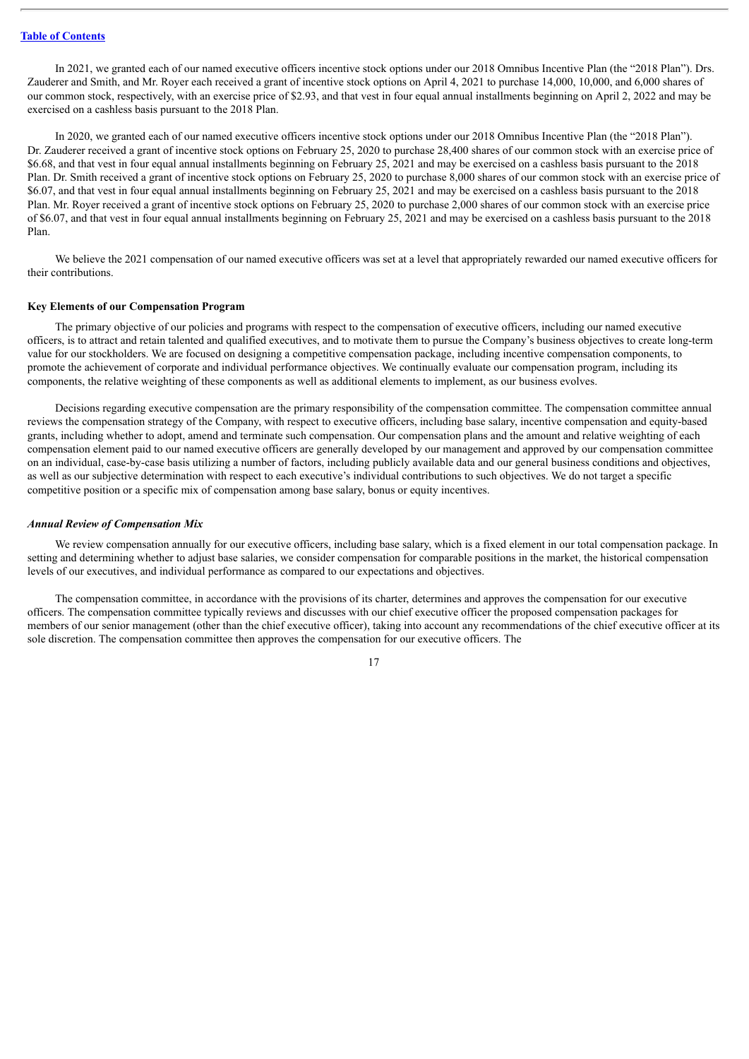In 2021, we granted each of our named executive officers incentive stock options under our 2018 Omnibus Incentive Plan (the "2018 Plan"). Drs. Zauderer and Smith, and Mr. Royer each received a grant of incentive stock options on April 4, 2021 to purchase 14,000, 10,000, and 6,000 shares of our common stock, respectively, with an exercise price of \$2.93, and that vest in four equal annual installments beginning on April 2, 2022 and may be exercised on a cashless basis pursuant to the 2018 Plan.

In 2020, we granted each of our named executive officers incentive stock options under our 2018 Omnibus Incentive Plan (the "2018 Plan"). Dr. Zauderer received a grant of incentive stock options on February 25, 2020 to purchase 28,400 shares of our common stock with an exercise price of \$6.68, and that vest in four equal annual installments beginning on February 25, 2021 and may be exercised on a cashless basis pursuant to the 2018 Plan. Dr. Smith received a grant of incentive stock options on February 25, 2020 to purchase 8,000 shares of our common stock with an exercise price of \$6.07, and that vest in four equal annual installments beginning on February 25, 2021 and may be exercised on a cashless basis pursuant to the 2018 Plan. Mr. Royer received a grant of incentive stock options on February 25, 2020 to purchase 2,000 shares of our common stock with an exercise price of \$6.07, and that vest in four equal annual installments beginning on February 25, 2021 and may be exercised on a cashless basis pursuant to the 2018 Plan.

We believe the 2021 compensation of our named executive officers was set at a level that appropriately rewarded our named executive officers for their contributions.

#### **Key Elements of our Compensation Program**

The primary objective of our policies and programs with respect to the compensation of executive officers, including our named executive officers, is to attract and retain talented and qualified executives, and to motivate them to pursue the Company's business objectives to create long-term value for our stockholders. We are focused on designing a competitive compensation package, including incentive compensation components, to promote the achievement of corporate and individual performance objectives. We continually evaluate our compensation program, including its components, the relative weighting of these components as well as additional elements to implement, as our business evolves.

Decisions regarding executive compensation are the primary responsibility of the compensation committee. The compensation committee annual reviews the compensation strategy of the Company, with respect to executive officers, including base salary, incentive compensation and equity-based grants, including whether to adopt, amend and terminate such compensation. Our compensation plans and the amount and relative weighting of each compensation element paid to our named executive officers are generally developed by our management and approved by our compensation committee on an individual, case-by-case basis utilizing a number of factors, including publicly available data and our general business conditions and objectives, as well as our subjective determination with respect to each executive's individual contributions to such objectives. We do not target a specific competitive position or a specific mix of compensation among base salary, bonus or equity incentives.

#### *Annual Review of Compensation Mix*

We review compensation annually for our executive officers, including base salary, which is a fixed element in our total compensation package. In setting and determining whether to adjust base salaries, we consider compensation for comparable positions in the market, the historical compensation levels of our executives, and individual performance as compared to our expectations and objectives.

The compensation committee, in accordance with the provisions of its charter, determines and approves the compensation for our executive officers. The compensation committee typically reviews and discusses with our chief executive officer the proposed compensation packages for members of our senior management (other than the chief executive officer), taking into account any recommendations of the chief executive officer at its sole discretion. The compensation committee then approves the compensation for our executive officers. The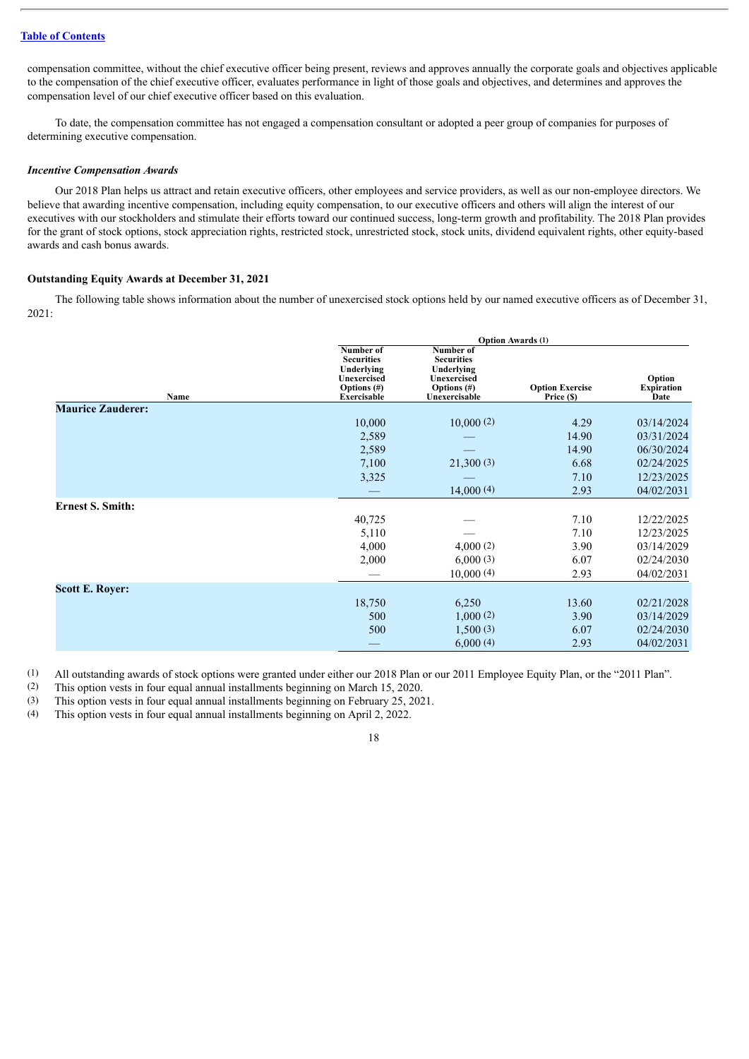# **Table of [Contents](#page-2-0)**

compensation committee, without the chief executive officer being present, reviews and approves annually the corporate goals and objectives applicable to the compensation of the chief executive officer, evaluates performance in light of those goals and objectives, and determines and approves the compensation level of our chief executive officer based on this evaluation.

To date, the compensation committee has not engaged a compensation consultant or adopted a peer group of companies for purposes of determining executive compensation.

#### *Incentive Compensation Awards*

Our 2018 Plan helps us attract and retain executive officers, other employees and service providers, as well as our non-employee directors. We believe that awarding incentive compensation, including equity compensation, to our executive officers and others will align the interest of our executives with our stockholders and stimulate their efforts toward our continued success, long-term growth and profitability. The 2018 Plan provides for the grant of stock options, stock appreciation rights, restricted stock, unrestricted stock, stock units, dividend equivalent rights, other equity-based awards and cash bonus awards.

# <span id="page-20-0"></span>**Outstanding Equity Awards at December 31, 2021**

The following table shows information about the number of unexercised stock options held by our named executive officers as of December 31, 2021:

|                          |                                                                                                     | <b>Option Awards (1)</b>                                                                       |                                      |                                     |  |  |  |
|--------------------------|-----------------------------------------------------------------------------------------------------|------------------------------------------------------------------------------------------------|--------------------------------------|-------------------------------------|--|--|--|
| Name                     | Number of<br><b>Securities</b><br>Underlying<br>Unexercised<br>Options $(\#)$<br><b>Exercisable</b> | Number of<br><b>Securities</b><br>Underlying<br>Unexercised<br>Options $(\#)$<br>Unexercisable | <b>Option Exercise</b><br>Price (\$) | Option<br><b>Expiration</b><br>Date |  |  |  |
| <b>Maurice Zauderer:</b> |                                                                                                     |                                                                                                |                                      |                                     |  |  |  |
|                          | 10,000                                                                                              | 10,000(2)                                                                                      | 4.29                                 | 03/14/2024                          |  |  |  |
|                          | 2,589                                                                                               |                                                                                                | 14.90                                | 03/31/2024                          |  |  |  |
|                          | 2,589                                                                                               |                                                                                                | 14.90                                | 06/30/2024                          |  |  |  |
|                          | 7,100                                                                                               | 21,300(3)                                                                                      | 6.68                                 | 02/24/2025                          |  |  |  |
|                          | 3,325                                                                                               |                                                                                                | 7.10                                 | 12/23/2025                          |  |  |  |
|                          |                                                                                                     | 14,000(4)                                                                                      | 2.93                                 | 04/02/2031                          |  |  |  |
| <b>Ernest S. Smith:</b>  |                                                                                                     |                                                                                                |                                      |                                     |  |  |  |
|                          | 40,725                                                                                              |                                                                                                | 7.10                                 | 12/22/2025                          |  |  |  |
|                          | 5,110                                                                                               |                                                                                                | 7.10                                 | 12/23/2025                          |  |  |  |
|                          | 4,000                                                                                               | 4,000(2)                                                                                       | 3.90                                 | 03/14/2029                          |  |  |  |
|                          | 2,000                                                                                               | 6,000(3)                                                                                       | 6.07                                 | 02/24/2030                          |  |  |  |
|                          |                                                                                                     | 10,000(4)                                                                                      | 2.93                                 | 04/02/2031                          |  |  |  |
| <b>Scott E. Royer:</b>   |                                                                                                     |                                                                                                |                                      |                                     |  |  |  |
|                          | 18,750                                                                                              | 6,250                                                                                          | 13.60                                | 02/21/2028                          |  |  |  |
|                          | 500                                                                                                 | 1,000(2)                                                                                       | 3.90                                 | 03/14/2029                          |  |  |  |
|                          | 500                                                                                                 | 1,500(3)                                                                                       | 6.07                                 | 02/24/2030                          |  |  |  |
|                          |                                                                                                     | 6,000(4)                                                                                       | 2.93                                 | 04/02/2031                          |  |  |  |

(1) All outstanding awards of stock options were granted under either our 2018 Plan or our 2011 Employee Equity Plan, or the "2011 Plan".

(2) This option vests in four equal annual installments beginning on March 15, 2020.

(3) This option vests in four equal annual installments beginning on February 25, 2021.<br>(4) This option vests in four equal annual installments beginning on April 2, 2022.

This option vests in four equal annual installments beginning on April 2, 2022.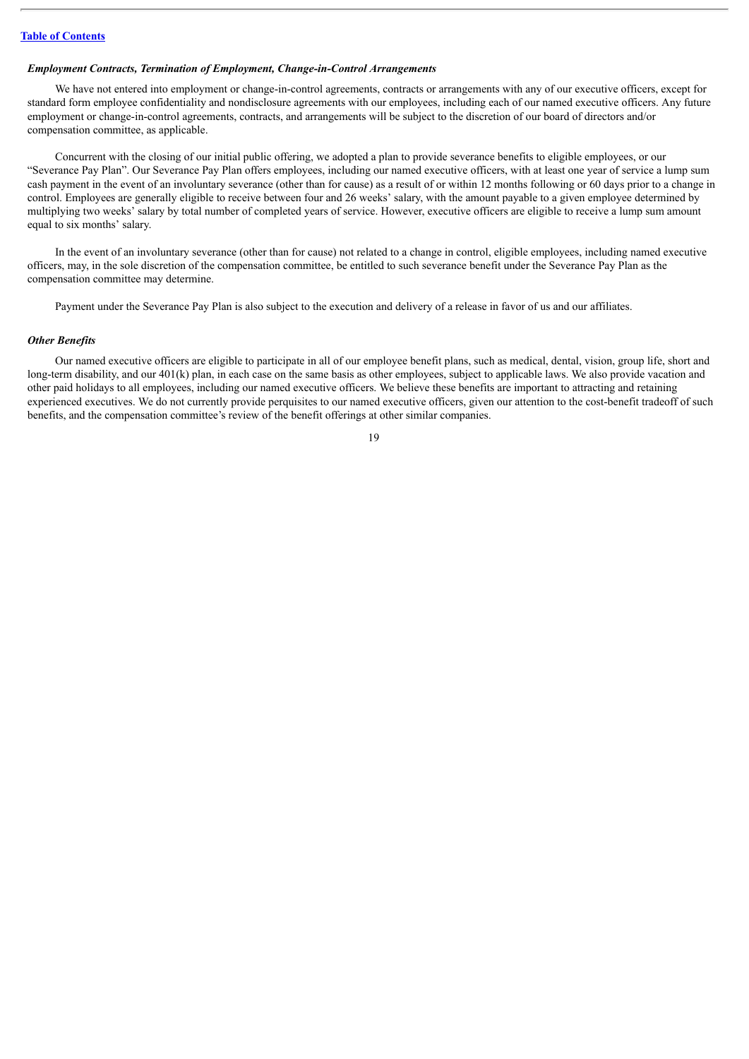# *Employment Contracts, Termination of Employment, Change-in-Control Arrangements*

We have not entered into employment or change-in-control agreements, contracts or arrangements with any of our executive officers, except for standard form employee confidentiality and nondisclosure agreements with our employees, including each of our named executive officers. Any future employment or change-in-control agreements, contracts, and arrangements will be subject to the discretion of our board of directors and/or compensation committee, as applicable.

Concurrent with the closing of our initial public offering, we adopted a plan to provide severance benefits to eligible employees, or our "Severance Pay Plan". Our Severance Pay Plan offers employees, including our named executive officers, with at least one year of service a lump sum cash payment in the event of an involuntary severance (other than for cause) as a result of or within 12 months following or 60 days prior to a change in control. Employees are generally eligible to receive between four and 26 weeks' salary, with the amount payable to a given employee determined by multiplying two weeks' salary by total number of completed years of service. However, executive officers are eligible to receive a lump sum amount equal to six months' salary.

In the event of an involuntary severance (other than for cause) not related to a change in control, eligible employees, including named executive officers, may, in the sole discretion of the compensation committee, be entitled to such severance benefit under the Severance Pay Plan as the compensation committee may determine.

Payment under the Severance Pay Plan is also subject to the execution and delivery of a release in favor of us and our affiliates.

#### *Other Benefits*

Our named executive officers are eligible to participate in all of our employee benefit plans, such as medical, dental, vision, group life, short and long-term disability, and our 401(k) plan, in each case on the same basis as other employees, subject to applicable laws. We also provide vacation and other paid holidays to all employees, including our named executive officers. We believe these benefits are important to attracting and retaining experienced executives. We do not currently provide perquisites to our named executive officers, given our attention to the cost-benefit tradeoff of such benefits, and the compensation committee's review of the benefit offerings at other similar companies.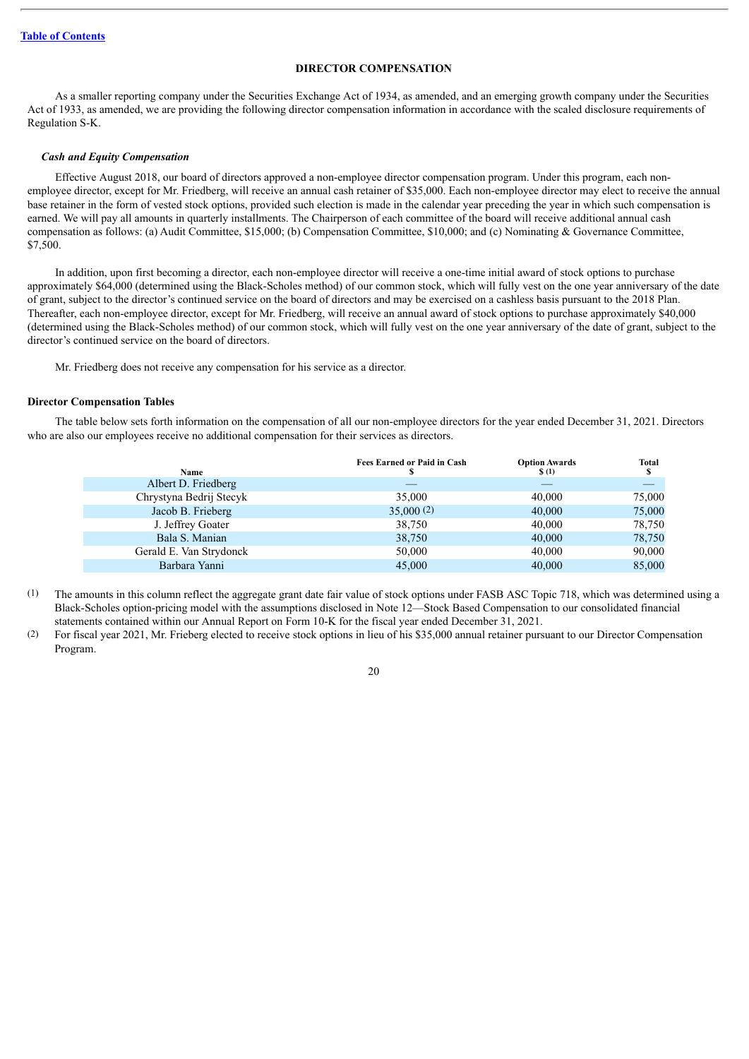# **DIRECTOR COMPENSATION**

<span id="page-22-0"></span>As a smaller reporting company under the Securities Exchange Act of 1934, as amended, and an emerging growth company under the Securities Act of 1933, as amended, we are providing the following director compensation information in accordance with the scaled disclosure requirements of Regulation S-K.

## *Cash and Equity Compensation*

Effective August 2018, our board of directors approved a non-employee director compensation program. Under this program, each nonemployee director, except for Mr. Friedberg, will receive an annual cash retainer of \$35,000. Each non-employee director may elect to receive the annual base retainer in the form of vested stock options, provided such election is made in the calendar year preceding the year in which such compensation is earned. We will pay all amounts in quarterly installments. The Chairperson of each committee of the board will receive additional annual cash compensation as follows: (a) Audit Committee, \$15,000; (b) Compensation Committee, \$10,000; and (c) Nominating & Governance Committee, \$7,500.

In addition, upon first becoming a director, each non-employee director will receive a one-time initial award of stock options to purchase approximately \$64,000 (determined using the Black-Scholes method) of our common stock, which will fully vest on the one year anniversary of the date of grant, subject to the director's continued service on the board of directors and may be exercised on a cashless basis pursuant to the 2018 Plan. Thereafter, each non-employee director, except for Mr. Friedberg, will receive an annual award of stock options to purchase approximately \$40,000 (determined using the Black-Scholes method) of our common stock, which will fully vest on the one year anniversary of the date of grant, subject to the director's continued service on the board of directors.

Mr. Friedberg does not receive any compensation for his service as a director.

## <span id="page-22-1"></span>**Director Compensation Tables**

The table below sets forth information on the compensation of all our non-employee directors for the year ended December 31, 2021. Directors who are also our employees receive no additional compensation for their services as directors.

| <b>Name</b>             | <b>Fees Earned or Paid in Cash</b> | <b>Option Awards</b><br>$\S(1)$ | <b>Total</b><br>\$ |
|-------------------------|------------------------------------|---------------------------------|--------------------|
| Albert D. Friedberg     |                                    |                                 |                    |
| Chrystyna Bedrij Stecyk | 35,000                             | 40,000                          | 75,000             |
| Jacob B. Frieberg       | 35,000(2)                          | 40,000                          | 75,000             |
| J. Jeffrey Goater       | 38,750                             | 40,000                          | 78,750             |
| Bala S. Manian          | 38,750                             | 40,000                          | 78,750             |
| Gerald E. Van Strydonck | 50,000                             | 40,000                          | 90,000             |
| Barbara Yanni           | 45,000                             | 40,000                          | 85,000             |

- (1) The amounts in this column reflect the aggregate grant date fair value of stock options under FASB ASC Topic 718, which was determined using a Black-Scholes option-pricing model with the assumptions disclosed in Note 12—Stock Based Compensation to our consolidated financial statements contained within our Annual Report on Form 10-K for the fiscal year ended December 31, 2021.
- (2) For fiscal year 2021, Mr. Frieberg elected to receive stock options in lieu of his \$35,000 annual retainer pursuant to our Director Compensation Program.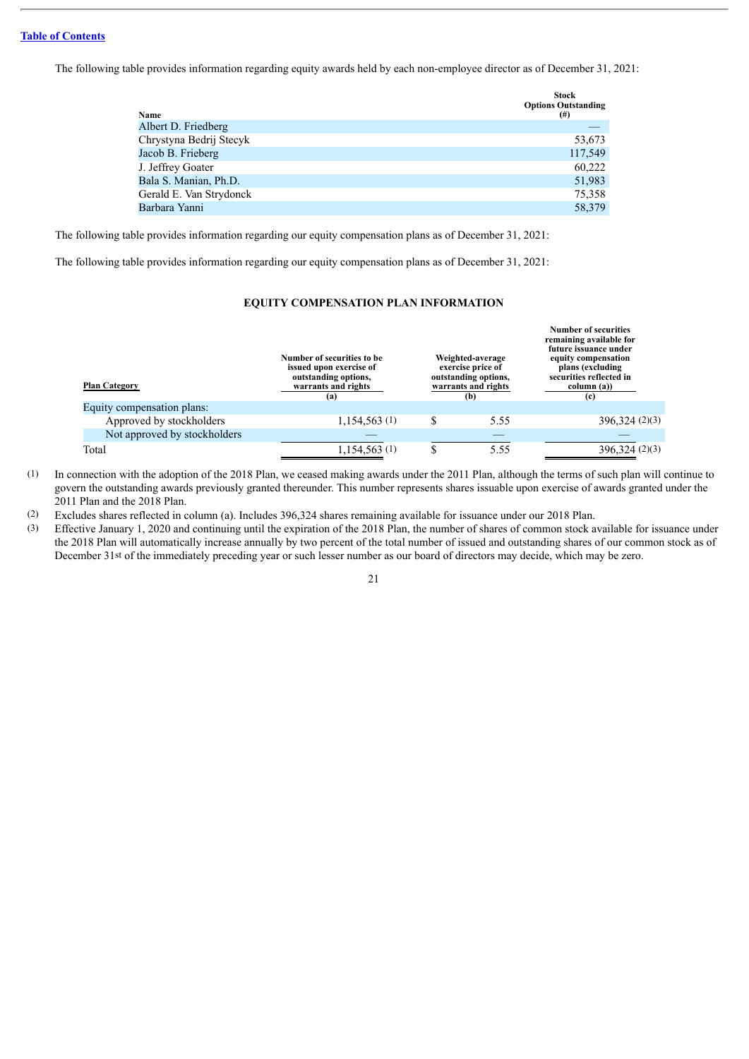# **Table of [Contents](#page-2-0)**

The following table provides information regarding equity awards held by each non-employee director as of December 31, 2021:

| Name                    | Stock<br><b>Options Outstanding</b><br>$^{(#)}$ |
|-------------------------|-------------------------------------------------|
| Albert D. Friedberg     |                                                 |
| Chrystyna Bedrij Stecyk | 53,673                                          |
| Jacob B. Frieberg       | 117,549                                         |
| J. Jeffrey Goater       | 60,222                                          |
| Bala S. Manian, Ph.D.   | 51,983                                          |
| Gerald E. Van Strydonck | 75,358                                          |
| Barbara Yanni           | 58,379                                          |

The following table provides information regarding our equity compensation plans as of December 31, 2021:

<span id="page-23-0"></span>The following table provides information regarding our equity compensation plans as of December 31, 2021:

# **EQUITY COMPENSATION PLAN INFORMATION**

**Number of securities**

| <b>Plan Category</b>         | Number of securities to be<br>issued upon exercise of<br>outstanding options,<br>warrants and rights<br>(a) | Weighted-average<br>exercise price of<br>outstanding options,<br>warrants and rights<br>(b) | Number of securities<br>remaining available for<br>future issuance under<br>equity compensation<br>plans (excluding<br>securities reflected in<br>column (a))<br>(c) |
|------------------------------|-------------------------------------------------------------------------------------------------------------|---------------------------------------------------------------------------------------------|----------------------------------------------------------------------------------------------------------------------------------------------------------------------|
| Equity compensation plans:   |                                                                                                             |                                                                                             |                                                                                                                                                                      |
| Approved by stockholders     | 1,154,563(1)                                                                                                | 5.55                                                                                        | 396,324(2)(3)                                                                                                                                                        |
| Not approved by stockholders |                                                                                                             |                                                                                             |                                                                                                                                                                      |
| Total                        | 1,154,563(1)                                                                                                | 5.55                                                                                        | 396,324(2)(3)                                                                                                                                                        |

(1) In connection with the adoption of the 2018 Plan, we ceased making awards under the 2011 Plan, although the terms of such plan will continue to govern the outstanding awards previously granted thereunder. This number represents shares issuable upon exercise of awards granted under the 2011 Plan and the 2018 Plan.

(2) Excludes shares reflected in column (a). Includes 396,324 shares remaining available for issuance under our 2018 Plan.

(3) Effective January 1, 2020 and continuing until the expiration of the 2018 Plan, the number of shares of common stock available for issuance under the 2018 Plan will automatically increase annually by two percent of the total number of issued and outstanding shares of our common stock as of December 31st of the immediately preceding year or such lesser number as our board of directors may decide, which may be zero.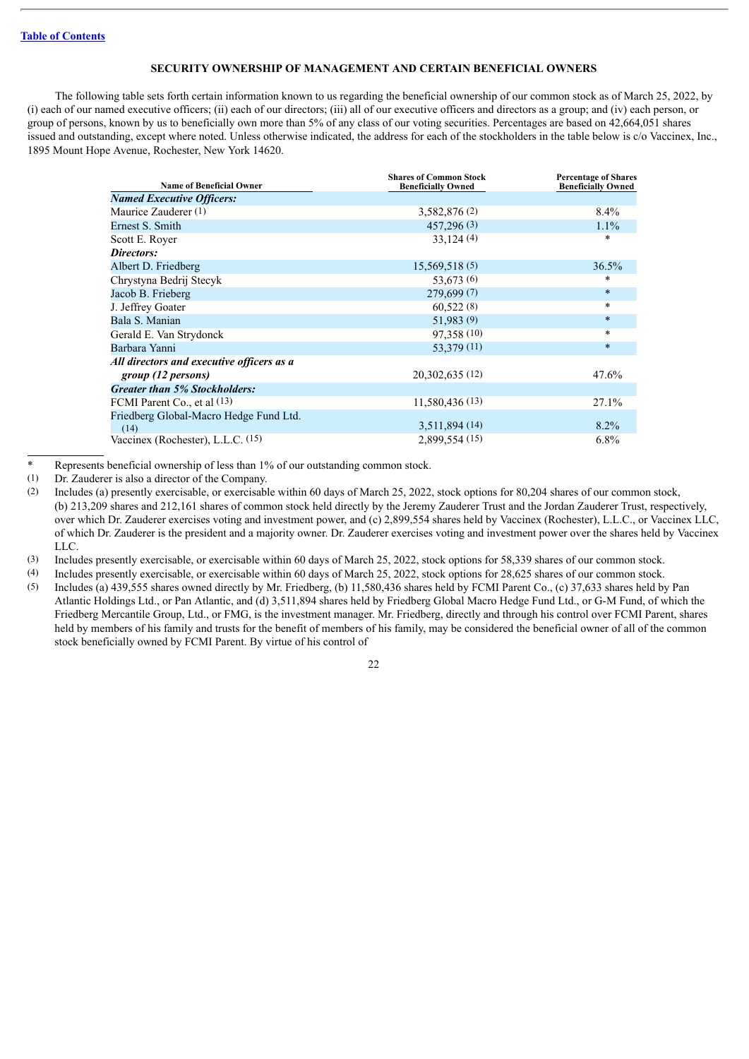# **SECURITY OWNERSHIP OF MANAGEMENT AND CERTAIN BENEFICIAL OWNERS**

<span id="page-24-0"></span>The following table sets forth certain information known to us regarding the beneficial ownership of our common stock as of March 25, 2022, by (i) each of our named executive officers; (ii) each of our directors; (iii) all of our executive officers and directors as a group; and (iv) each person, or group of persons, known by us to beneficially own more than 5% of any class of our voting securities. Percentages are based on 42,664,051 shares issued and outstanding, except where noted. Unless otherwise indicated, the address for each of the stockholders in the table below is c/o Vaccinex, Inc., 1895 Mount Hope Avenue, Rochester, New York 14620.

| <b>Name of Beneficial Owner</b>           | <b>Shares of Common Stock</b><br><b>Beneficially Owned</b> | <b>Percentage of Shares</b><br><b>Beneficially Owned</b> |
|-------------------------------------------|------------------------------------------------------------|----------------------------------------------------------|
| <b>Named Executive Officers:</b>          |                                                            |                                                          |
| Maurice Zauderer (1)                      | 3,582,876 (2)                                              | $8.4\%$                                                  |
| Ernest S. Smith                           | 457,296(3)                                                 | $1.1\%$                                                  |
| Scott E. Royer                            | 33,124(4)                                                  | $\ast$                                                   |
| Directors:                                |                                                            |                                                          |
| Albert D. Friedberg                       | 15,569,518(5)                                              | 36.5%                                                    |
| Chrystyna Bedrij Stecyk                   | 53,673 (6)                                                 | *                                                        |
| Jacob B. Frieberg                         | 279,699(7)                                                 | $\ast$                                                   |
| J. Jeffrey Goater                         | 60,522(8)                                                  | $\ast$                                                   |
| Bala S. Manian                            | 51,983 (9)                                                 | $\ast$                                                   |
| Gerald E. Van Strydonck                   | 97,358 (10)                                                | $\ast$                                                   |
| Barbara Yanni                             | 53,379 (11)                                                | $\ast$                                                   |
| All directors and executive officers as a |                                                            |                                                          |
| group (12 persons)                        | 20,302,635 (12)                                            | 47.6%                                                    |
| <b>Greater than 5% Stockholders:</b>      |                                                            |                                                          |
| FCMI Parent Co., et al (13)               | 11,580,436 (13)                                            | 27.1%                                                    |
| Friedberg Global-Macro Hedge Fund Ltd.    |                                                            |                                                          |
| (14)                                      | 3,511,894 (14)                                             | $8.2\%$                                                  |
| Vaccinex (Rochester), L.L.C. (15)         | 2,899,554 (15)                                             | 6.8%                                                     |

Represents beneficial ownership of less than 1% of our outstanding common stock.

(2) Includes (a) presently exercisable, or exercisable within 60 days of March 25, 2022, stock options for 80,204 shares of our common stock, (b) 213,209 shares and 212,161 shares of common stock held directly by the Jeremy Zauderer Trust and the Jordan Zauderer Trust, respectively, over which Dr. Zauderer exercises voting and investment power, and (c) 2,899,554 shares held by Vaccinex (Rochester), L.L.C., or Vaccinex LLC, of which Dr. Zauderer is the president and a majority owner. Dr. Zauderer exercises voting and investment power over the shares held by Vaccinex LLC.

(3) Includes presently exercisable, or exercisable within 60 days of March 25, 2022, stock options for 58,339 shares of our common stock.

(4) Includes presently exercisable, or exercisable within 60 days of March 25, 2022, stock options for 28,625 shares of our common stock.

(5) Includes (a) 439,555 shares owned directly by Mr. Friedberg, (b) 11,580,436 shares held by FCMI Parent Co., (c) 37,633 shares held by Pan Atlantic Holdings Ltd., or Pan Atlantic, and (d) 3,511,894 shares held by Friedberg Global Macro Hedge Fund Ltd., or G-M Fund, of which the Friedberg Mercantile Group, Ltd., or FMG, is the investment manager. Mr. Friedberg, directly and through his control over FCMI Parent, shares held by members of his family and trusts for the benefit of members of his family, may be considered the beneficial owner of all of the common stock beneficially owned by FCMI Parent. By virtue of his control of

<sup>(1)</sup> Dr. Zauderer is also a director of the Company.<br>
(2) Includes (a) presently exercisable or exercisable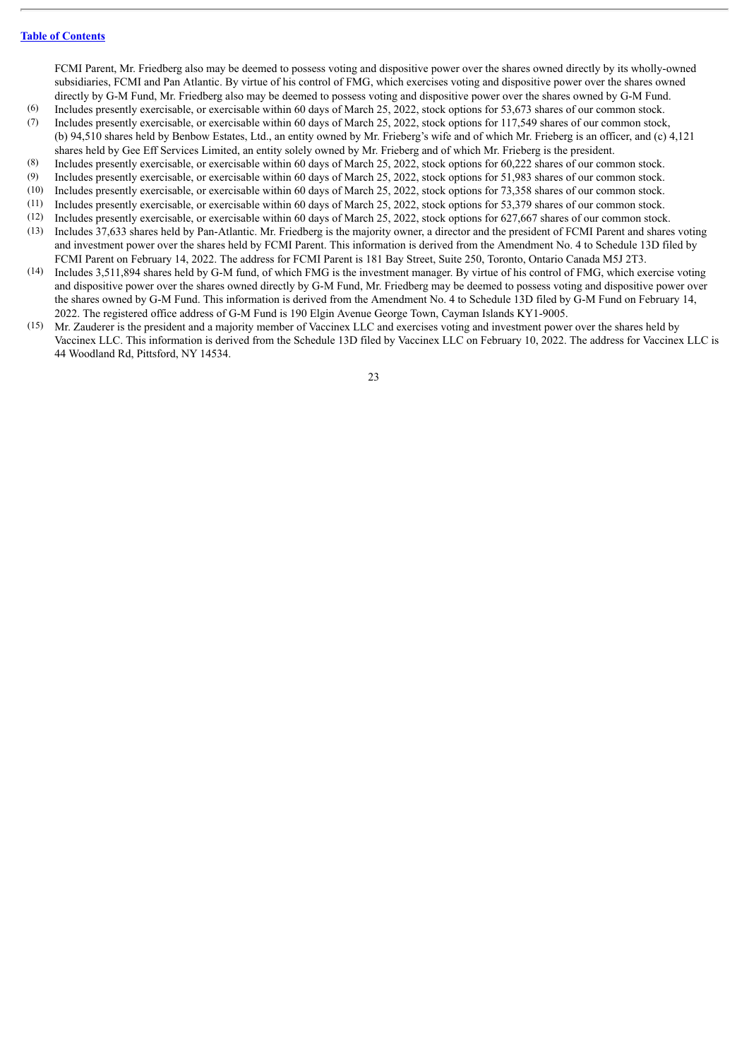FCMI Parent, Mr. Friedberg also may be deemed to possess voting and dispositive power over the shares owned directly by its wholly-owned subsidiaries, FCMI and Pan Atlantic. By virtue of his control of FMG, which exercises voting and dispositive power over the shares owned directly by G-M Fund, Mr. Friedberg also may be deemed to possess voting and dispositive power over the shares owned by G-M Fund.

- (6) Includes presently exercisable, or exercisable within 60 days of March 25, 2022, stock options for 53,673 shares of our common stock.
- (7) Includes presently exercisable, or exercisable within 60 days of March 25, 2022, stock options for 117,549 shares of our common stock, (b) 94,510 shares held by Benbow Estates, Ltd., an entity owned by Mr. Frieberg's wife and of which Mr. Frieberg is an officer, and (c) 4,121 shares held by Gee Eff Services Limited, an entity solely owned by Mr. Frieberg and of which Mr. Frieberg is the president.
- (8) Includes presently exercisable, or exercisable within 60 days of March 25, 2022, stock options for 60,222 shares of our common stock.
- (9) Includes presently exercisable, or exercisable within 60 days of March 25, 2022, stock options for 51,983 shares of our common stock.
- (10) Includes presently exercisable, or exercisable within 60 days of March 25, 2022, stock options for 73,358 shares of our common stock.
- (11) Includes presently exercisable, or exercisable within 60 days of March 25, 2022, stock options for 53,379 shares of our common stock. (12) Includes presently exercisable, or exercisable within 60 days of March 25, 2022, stock options for 627,667 shares of our common stock.
- (13) Includes 37,633 shares held by Pan-Atlantic. Mr. Friedberg is the majority owner, a director and the president of FCMI Parent and shares voting and investment power over the shares held by FCMI Parent. This information is derived from the Amendment No. 4 to Schedule 13D filed by FCMI Parent on February 14, 2022. The address for FCMI Parent is 181 Bay Street, Suite 250, Toronto, Ontario Canada M5J 2T3.
- (14) Includes 3,511,894 shares held by G-M fund, of which FMG is the investment manager. By virtue of his control of FMG, which exercise voting and dispositive power over the shares owned directly by G-M Fund, Mr. Friedberg may be deemed to possess voting and dispositive power over the shares owned by G-M Fund. This information is derived from the Amendment No. 4 to Schedule 13D filed by G-M Fund on February 14, 2022. The registered office address of G-M Fund is 190 Elgin Avenue George Town, Cayman Islands KY1-9005.
- (15) Mr. Zauderer is the president and a majority member of Vaccinex LLC and exercises voting and investment power over the shares held by Vaccinex LLC. This information is derived from the Schedule 13D filed by Vaccinex LLC on February 10, 2022. The address for Vaccinex LLC is 44 Woodland Rd, Pittsford, NY 14534.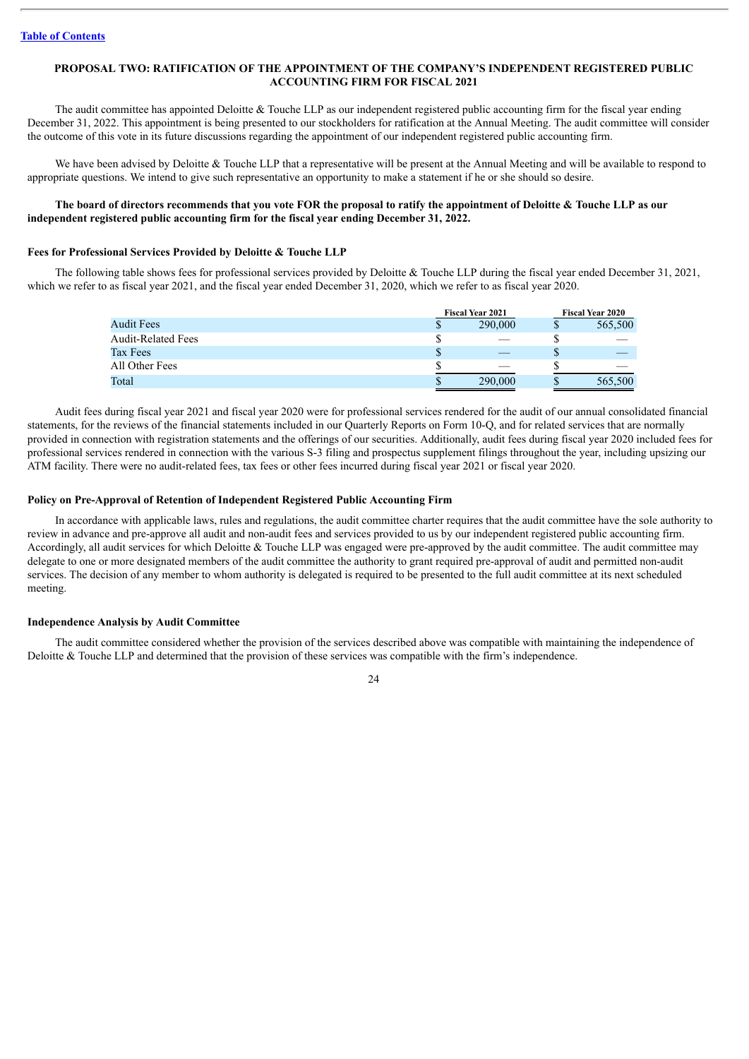# <span id="page-26-0"></span>**PROPOSAL TWO: RATIFICATION OF THE APPOINTMENT OF THE COMPANY'S INDEPENDENT REGISTERED PUBLIC ACCOUNTING FIRM FOR FISCAL 2021**

The audit committee has appointed Deloitte  $&$  Touche LLP as our independent registered public accounting firm for the fiscal year ending December 31, 2022. This appointment is being presented to our stockholders for ratification at the Annual Meeting. The audit committee will consider the outcome of this vote in its future discussions regarding the appointment of our independent registered public accounting firm.

We have been advised by Deloitte & Touche LLP that a representative will be present at the Annual Meeting and will be available to respond to appropriate questions. We intend to give such representative an opportunity to make a statement if he or she should so desire.

# The board of directors recommends that you vote FOR the proposal to ratify the appointment of Deloitte & Touche LLP as our **independent registered public accounting firm for the fiscal year ending December 31, 2022.**

## **Fees for Professional Services Provided by Deloitte & Touche LLP**

The following table shows fees for professional services provided by Deloitte & Touche LLP during the fiscal year ended December 31, 2021, which we refer to as fiscal year 2021, and the fiscal year ended December 31, 2020, which we refer to as fiscal year 2020.

|                           |    | <b>Fiscal Year 2021</b> | <b>Fiscal Year 2020</b> |  |  |
|---------------------------|----|-------------------------|-------------------------|--|--|
| <b>Audit Fees</b>         | Φ  | 290,000                 | 565,500                 |  |  |
| <b>Audit-Related Fees</b> |    |                         |                         |  |  |
| Tax Fees                  | ۰D |                         |                         |  |  |
| All Other Fees            |    |                         |                         |  |  |
| Total                     | Ф  | 290,000                 | 565,500                 |  |  |

Audit fees during fiscal year 2021 and fiscal year 2020 were for professional services rendered for the audit of our annual consolidated financial statements, for the reviews of the financial statements included in our Quarterly Reports on Form 10-Q, and for related services that are normally provided in connection with registration statements and the offerings of our securities. Additionally, audit fees during fiscal year 2020 included fees for professional services rendered in connection with the various S-3 filing and prospectus supplement filings throughout the year, including upsizing our ATM facility. There were no audit-related fees, tax fees or other fees incurred during fiscal year 2021 or fiscal year 2020.

#### **Policy on Pre-Approval of Retention of Independent Registered Public Accounting Firm**

In accordance with applicable laws, rules and regulations, the audit committee charter requires that the audit committee have the sole authority to review in advance and pre-approve all audit and non-audit fees and services provided to us by our independent registered public accounting firm. Accordingly, all audit services for which Deloitte & Touche LLP was engaged were pre-approved by the audit committee. The audit committee may delegate to one or more designated members of the audit committee the authority to grant required pre-approval of audit and permitted non-audit services. The decision of any member to whom authority is delegated is required to be presented to the full audit committee at its next scheduled meeting.

#### **Independence Analysis by Audit Committee**

The audit committee considered whether the provision of the services described above was compatible with maintaining the independence of Deloitte & Touche LLP and determined that the provision of these services was compatible with the firm's independence.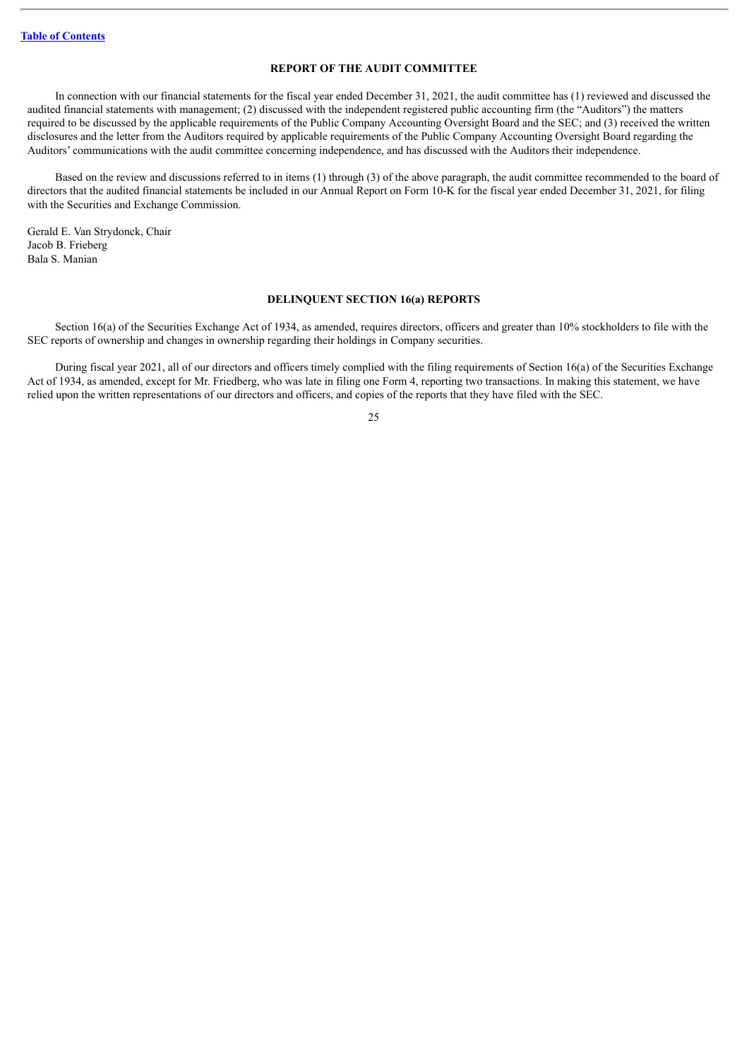# **REPORT OF THE AUDIT COMMITTEE**

<span id="page-27-0"></span>In connection with our financial statements for the fiscal year ended December 31, 2021, the audit committee has (1) reviewed and discussed the audited financial statements with management; (2) discussed with the independent registered public accounting firm (the "Auditors") the matters required to be discussed by the applicable requirements of the Public Company Accounting Oversight Board and the SEC; and (3) received the written disclosures and the letter from the Auditors required by applicable requirements of the Public Company Accounting Oversight Board regarding the Auditors' communications with the audit committee concerning independence, and has discussed with the Auditors their independence.

Based on the review and discussions referred to in items (1) through (3) of the above paragraph, the audit committee recommended to the board of directors that the audited financial statements be included in our Annual Report on Form 10-K for the fiscal year ended December 31, 2021, for filing with the Securities and Exchange Commission.

Gerald E. Van Strydonck, Chair Jacob B. Frieberg Bala S. Manian

#### **DELINQUENT SECTION 16(a) REPORTS**

<span id="page-27-1"></span>Section 16(a) of the Securities Exchange Act of 1934, as amended, requires directors, officers and greater than 10% stockholders to file with the SEC reports of ownership and changes in ownership regarding their holdings in Company securities.

During fiscal year 2021, all of our directors and officers timely complied with the filing requirements of Section 16(a) of the Securities Exchange Act of 1934, as amended, except for Mr. Friedberg, who was late in filing one Form 4, reporting two transactions. In making this statement, we have relied upon the written representations of our directors and officers, and copies of the reports that they have filed with the SEC.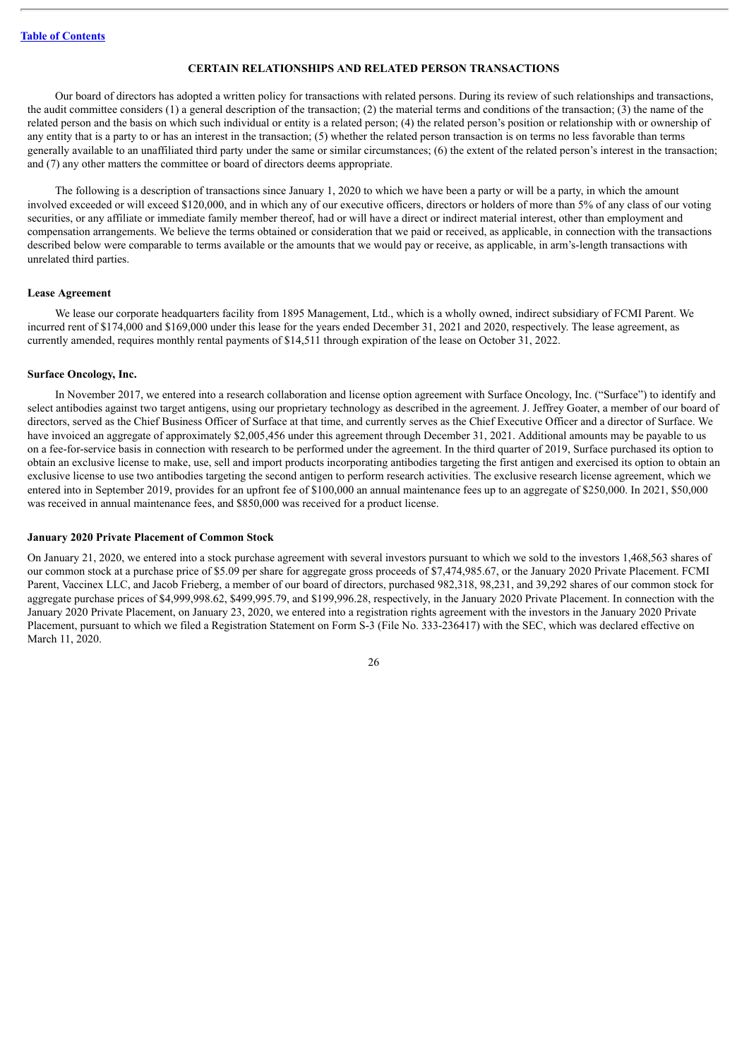#### **CERTAIN RELATIONSHIPS AND RELATED PERSON TRANSACTIONS**

<span id="page-28-0"></span>Our board of directors has adopted a written policy for transactions with related persons. During its review of such relationships and transactions, the audit committee considers (1) a general description of the transaction; (2) the material terms and conditions of the transaction; (3) the name of the related person and the basis on which such individual or entity is a related person; (4) the related person's position or relationship with or ownership of any entity that is a party to or has an interest in the transaction; (5) whether the related person transaction is on terms no less favorable than terms generally available to an unaffiliated third party under the same or similar circumstances; (6) the extent of the related person's interest in the transaction; and (7) any other matters the committee or board of directors deems appropriate.

The following is a description of transactions since January 1, 2020 to which we have been a party or will be a party, in which the amount involved exceeded or will exceed \$120,000, and in which any of our executive officers, directors or holders of more than 5% of any class of our voting securities, or any affiliate or immediate family member thereof, had or will have a direct or indirect material interest, other than employment and compensation arrangements. We believe the terms obtained or consideration that we paid or received, as applicable, in connection with the transactions described below were comparable to terms available or the amounts that we would pay or receive, as applicable, in arm's-length transactions with unrelated third parties.

#### **Lease Agreement**

We lease our corporate headquarters facility from 1895 Management, Ltd., which is a wholly owned, indirect subsidiary of FCMI Parent. We incurred rent of \$174,000 and \$169,000 under this lease for the years ended December 31, 2021 and 2020, respectively. The lease agreement, as currently amended, requires monthly rental payments of \$14,511 through expiration of the lease on October 31, 2022.

#### **Surface Oncology, Inc.**

In November 2017, we entered into a research collaboration and license option agreement with Surface Oncology, Inc. ("Surface") to identify and select antibodies against two target antigens, using our proprietary technology as described in the agreement. J. Jeffrey Goater, a member of our board of directors, served as the Chief Business Officer of Surface at that time, and currently serves as the Chief Executive Officer and a director of Surface. We have invoiced an aggregate of approximately \$2,005,456 under this agreement through December 31, 2021. Additional amounts may be payable to us on a fee-for-service basis in connection with research to be performed under the agreement. In the third quarter of 2019, Surface purchased its option to obtain an exclusive license to make, use, sell and import products incorporating antibodies targeting the first antigen and exercised its option to obtain an exclusive license to use two antibodies targeting the second antigen to perform research activities. The exclusive research license agreement, which we entered into in September 2019, provides for an upfront fee of \$100,000 an annual maintenance fees up to an aggregate of \$250,000. In 2021, \$50,000 was received in annual maintenance fees, and \$850,000 was received for a product license.

#### **January 2020 Private Placement of Common Stock**

On January 21, 2020, we entered into a stock purchase agreement with several investors pursuant to which we sold to the investors 1,468,563 shares of our common stock at a purchase price of \$5.09 per share for aggregate gross proceeds of \$7,474,985.67, or the January 2020 Private Placement. FCMI Parent, Vaccinex LLC, and Jacob Frieberg, a member of our board of directors, purchased 982,318, 98,231, and 39,292 shares of our common stock for aggregate purchase prices of \$4,999,998.62, \$499,995.79, and \$199,996.28, respectively, in the January 2020 Private Placement. In connection with the January 2020 Private Placement, on January 23, 2020, we entered into a registration rights agreement with the investors in the January 2020 Private Placement, pursuant to which we filed a Registration Statement on Form S-3 (File No. 333-236417) with the SEC, which was declared effective on March 11, 2020.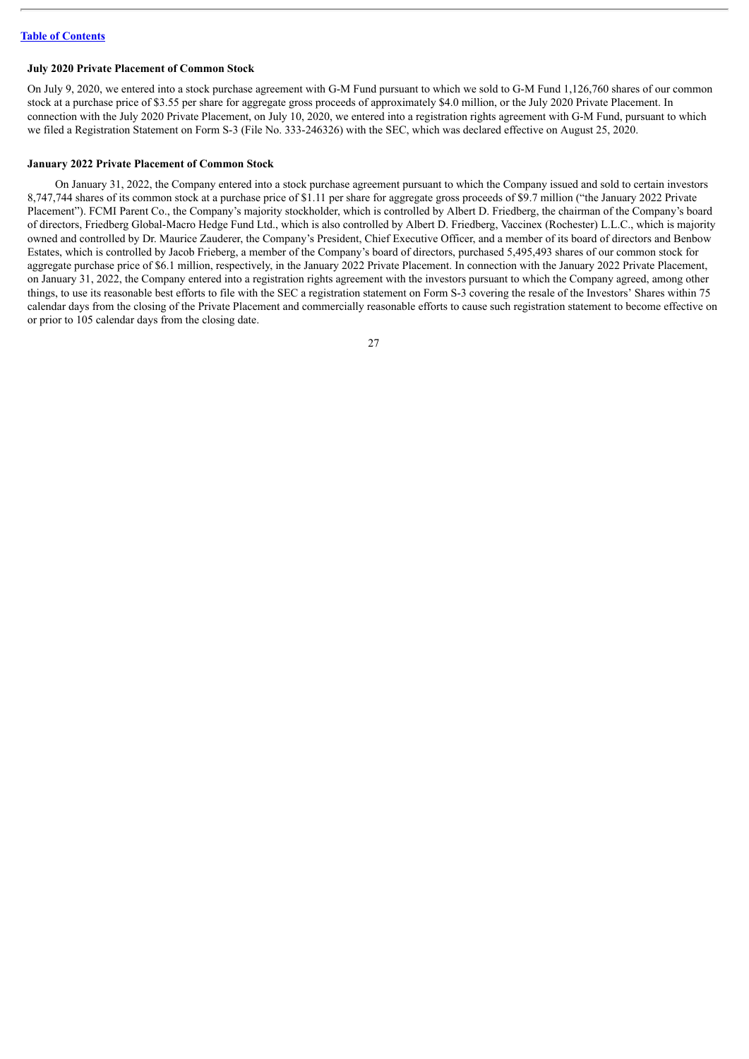## **July 2020 Private Placement of Common Stock**

On July 9, 2020, we entered into a stock purchase agreement with G-M Fund pursuant to which we sold to G-M Fund 1,126,760 shares of our common stock at a purchase price of \$3.55 per share for aggregate gross proceeds of approximately \$4.0 million, or the July 2020 Private Placement. In connection with the July 2020 Private Placement, on July 10, 2020, we entered into a registration rights agreement with G-M Fund, pursuant to which we filed a Registration Statement on Form S-3 (File No. 333-246326) with the SEC, which was declared effective on August 25, 2020.

## **January 2022 Private Placement of Common Stock**

On January 31, 2022, the Company entered into a stock purchase agreement pursuant to which the Company issued and sold to certain investors 8,747,744 shares of its common stock at a purchase price of \$1.11 per share for aggregate gross proceeds of \$9.7 million ("the January 2022 Private Placement"). FCMI Parent Co., the Company's majority stockholder, which is controlled by Albert D. Friedberg, the chairman of the Company's board of directors, Friedberg Global-Macro Hedge Fund Ltd., which is also controlled by Albert D. Friedberg, Vaccinex (Rochester) L.L.C., which is majority owned and controlled by Dr. Maurice Zauderer, the Company's President, Chief Executive Officer, and a member of its board of directors and Benbow Estates, which is controlled by Jacob Frieberg, a member of the Company's board of directors, purchased 5,495,493 shares of our common stock for aggregate purchase price of \$6.1 million, respectively, in the January 2022 Private Placement. In connection with the January 2022 Private Placement, on January 31, 2022, the Company entered into a registration rights agreement with the investors pursuant to which the Company agreed, among other things, to use its reasonable best efforts to file with the SEC a registration statement on Form S-3 covering the resale of the Investors' Shares within 75 calendar days from the closing of the Private Placement and commercially reasonable efforts to cause such registration statement to become effective on or prior to 105 calendar days from the closing date.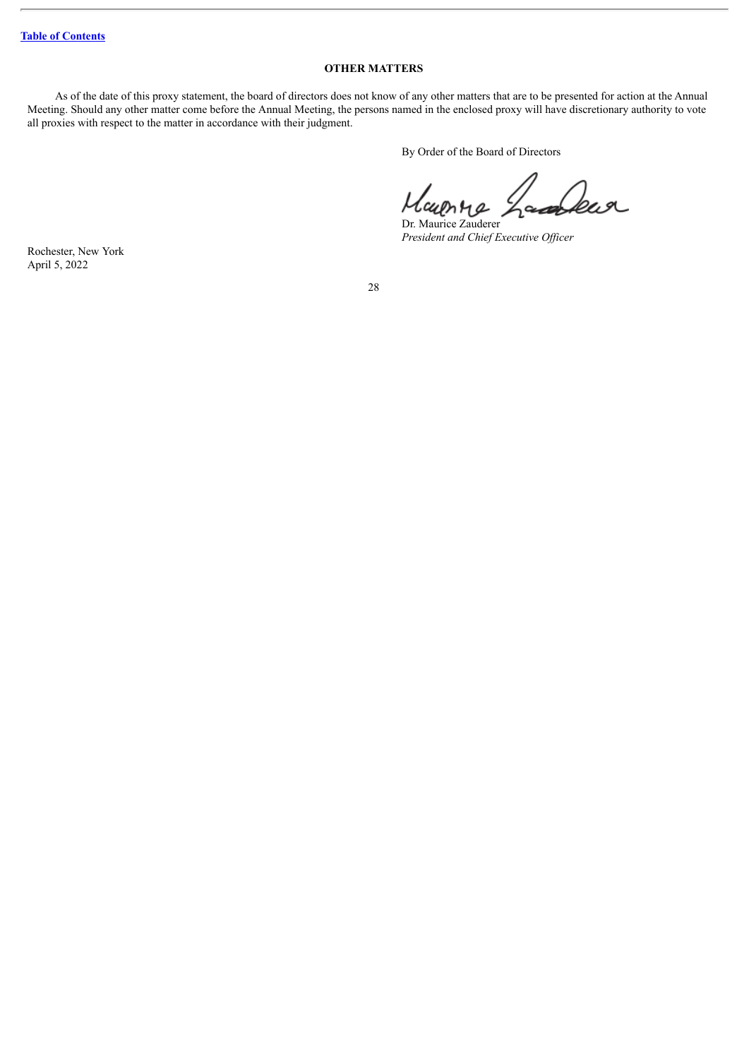# **OTHER MATTERS**

<span id="page-30-0"></span>As of the date of this proxy statement, the board of directors does not know of any other matters that are to be presented for action at the Annual Meeting. Should any other matter come before the Annual Meeting, the persons named in the enclosed proxy will have discretionary authority to vote all proxies with respect to the matter in accordance with their judgment.

By Order of the Board of Directors

 $\iota$ ear

Dr. Maurice Zauderer *President and Chief Executive Of icer*

Rochester, New York April 5, 2022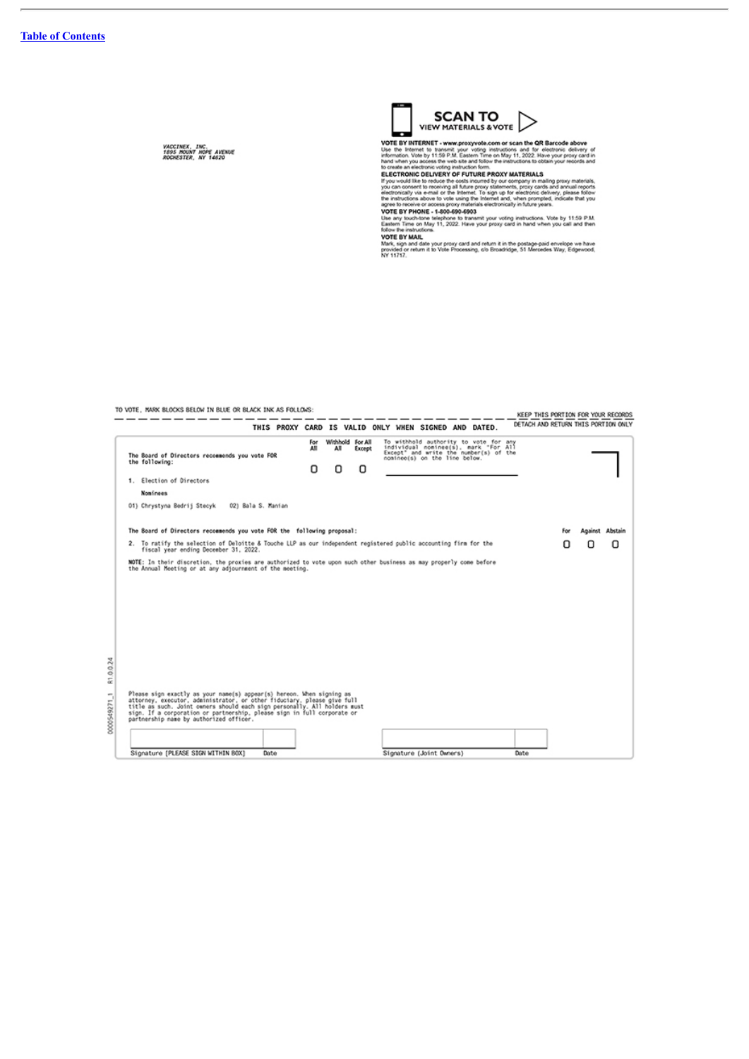$\overline{a}$ 

*VACCINEX, INC.<br>1895 MOUNT HOPE AVENUE<br>ROCHESTER, NY 14620* 



VIEW MATERIALS & VOTE<br>
VOTE BY INTERNET - www.proxyvote.com or scan the QR Barcode above<br>
Use the Internet by Internal your voting instructions and for electronic delivery of<br>
Use the internal when you access the web site

TO VOTE, MARK BLOCKS BELOW IN BLUE OR BLACK INK AS FOLLOWS:

| TO VOTE, MANX BLOCKS BELOW IN BLUE OR BLACK INK AS FOLLOWS.                                                                                                                                                                                                                                                                                         |                             |                                 |                                                                                                                                                          |  | KEEP THIS PORTION FOR YOUR RECORDS  |   |                 |
|-----------------------------------------------------------------------------------------------------------------------------------------------------------------------------------------------------------------------------------------------------------------------------------------------------------------------------------------------------|-----------------------------|---------------------------------|----------------------------------------------------------------------------------------------------------------------------------------------------------|--|-------------------------------------|---|-----------------|
| THIS PROXY CARD IS VALID ONLY WHEN SIGNED AND DATED.                                                                                                                                                                                                                                                                                                |                             |                                 |                                                                                                                                                          |  | DETACH AND RETURN THIS PORTION ONLY |   |                 |
| The Board of Directors recommends you vote FOR<br>the following:                                                                                                                                                                                                                                                                                    | For<br>All<br>All<br>Ω<br>ο | Withhold For All<br>Except<br>Ω | To withhold authority to vote for any<br>individual nominee(s), mark "For All<br>Except" and write the number(s) of the<br>nominee(s) on the line below. |  |                                     |   |                 |
| 1. Election of Directors                                                                                                                                                                                                                                                                                                                            |                             |                                 |                                                                                                                                                          |  |                                     |   |                 |
| <b>Noninees</b>                                                                                                                                                                                                                                                                                                                                     |                             |                                 |                                                                                                                                                          |  |                                     |   |                 |
| 01) Chrystyna Bedrij Stecyk 02) Bala S. Manian                                                                                                                                                                                                                                                                                                      |                             |                                 |                                                                                                                                                          |  |                                     |   |                 |
| The Board of Directors recommends you vote FOR the following proposal:                                                                                                                                                                                                                                                                              |                             |                                 |                                                                                                                                                          |  |                                     |   | Against Abstain |
| 2. To ratify the selection of Deloitte & Touche LLP as our independent registered public accounting firm for the<br>fiscal year ending December 31, 2022.                                                                                                                                                                                           |                             |                                 |                                                                                                                                                          |  |                                     | Ω | O               |
| NOTE: In their discretion, the proxies are authorized to vote upon such other business as may properly come before<br>the Annual Meeting or at any adjournment of the meeting.                                                                                                                                                                      |                             |                                 |                                                                                                                                                          |  |                                     |   |                 |
| Please sign exactly as your name(s) appear(s) hereon. When signing as<br>attorney, executor, administrator, or other fiduciary, please give full<br>title as such. Joint owners should each sign personally. All holders must<br>sign. If a corporation or partnership, please sign in full corporate or<br>partnership name by authorized officer. |                             |                                 |                                                                                                                                                          |  |                                     |   |                 |
|                                                                                                                                                                                                                                                                                                                                                     |                             |                                 |                                                                                                                                                          |  |                                     |   |                 |
| Signature [PLEASE SIGN WITHIN BOX]<br>Date                                                                                                                                                                                                                                                                                                          |                             |                                 | Signature (Joint Owners)                                                                                                                                 |  | Date                                |   |                 |